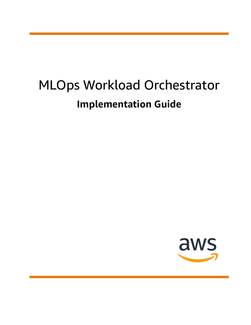# MLOps Workload Orchestrator **Implementation Guide**

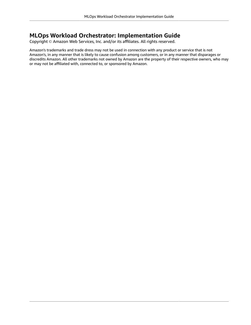#### **MLOps Workload Orchestrator: Implementation Guide**

Copyright © Amazon Web Services, Inc. and/or its affiliates. All rights reserved.

Amazon's trademarks and trade dress may not be used in connection with any product or service that is not Amazon's, in any manner that is likely to cause confusion among customers, or in any manner that disparages or discredits Amazon. All other trademarks not owned by Amazon are the property of their respective owners, who may or may not be affiliated with, connected to, or sponsored by Amazon.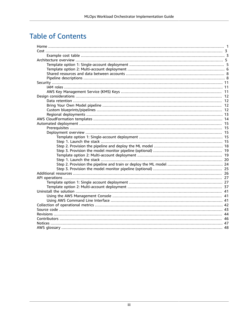### **Table of Contents**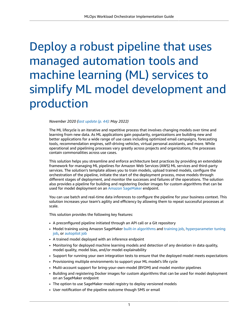## <span id="page-3-0"></span>Deploy a robust pipeline that uses managed automation tools and machine learning (ML) services to simplify ML model development and production

*November 2020 ([last update](#page-46-0) (p. [44\):](#page-46-0) May 2022)*

The ML lifecycle is an iterative and repetitive process that involves changing models over time and learning from new data. As ML applications gain popularity, organizations are building new and better applications for a wide range of use cases including optimized email campaigns, forecasting tools, recommendation engines, self-driving vehicles, virtual personal assistants, and more. While operational and pipelining processes vary greatly across projects and organizations, the processes contain commonalities across use cases.

This solution helps you streamline and enforce architecture best practices by providing an extendable framework for managing ML pipelines for Amazon Web Services (AWS) ML services and third-party services. The solution's template allows you to train models, upload trained models, configure the orchestration of the pipeline, initiate the start of the deployment process, move models through different stages of deployment, and monitor the successes and failures of the operations. The solution also provides a pipeline for building and registering Docker images for custom algorithms that can be used for model deployment on an Amazon [SageMaker](https://aws.amazon.com/sagemaker) endpoint.

You can use batch and real-time data inferences to configure the pipeline for your business context. This solution increases your team's agility and efficiency by allowing them to repeat successful processes at scale.

This solution provides the following key features:

- A preconfigured pipeline initiated through an API call or a Git repository
- Model training using Amazon SageMaker built-in [algorithms](https://docs.aws.amazon.com/sagemaker/latest/dg/algos.html) and [training job,](https://docs.aws.amazon.com/sagemaker/latest/dg/how-it-works-training.html) [hyperparameter](https://docs.aws.amazon.com/sagemaker/latest/dg/automatic-model-tuning-how-it-works.html) tuning [job](https://docs.aws.amazon.com/sagemaker/latest/dg/automatic-model-tuning-how-it-works.html), or [autopilot job](https://docs.aws.amazon.com/sagemaker/latest/dg/autopilot-automate-model-development.html)
- A trained model deployed with an inference endpoint
- Monitoring for deployed machine learning models and detection of any deviation in data quality, model quality, model bias, and/or model explainability
- Support for running your own integration tests to ensure that the deployed model meets expectations
- Provisioning multiple environments to support your ML model's life cycle
- Multi-account support for bring-your-own-model (BYOM) and model monitor pipelines
- Building and registering Docker images for custom algorithms that can be used for model deployment on an SageMaker endpoint
- The option to use SageMaker model registry to deploy versioned models
- User notification of the pipeline outcome though SMS or email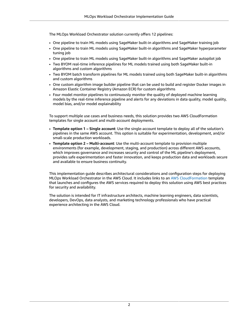The MLOps Workload Orchestrator solution currently offers 12 pipelines:

- One pipeline to train ML models using SageMaker built-in algorithms and SageMaker training job
- One pipeline to train ML models using SageMaker built-in algorithms and SageMaker hyperparameter tuning job
- One pipeline to train ML models using SageMaker built-in algorithms and SageMaker autopilot job
- Two BYOM real-time inference pipelines for ML models trained using both SageMaker built-in algorithms and custom algorithms
- Two BYOM batch transform pipelines for ML models trained using both SageMaker built-in algorithms and custom algorithms
- One custom algorithm image builder pipeline that can be used to build and register Docker images in Amazon Elastic Container Registry (Amazon ECR) for custom algorithms
- Four model monitor pipelines to continuously monitor the quality of deployed machine learning models by the real-time inference pipeline and alerts for any deviations in data quality, model quality, model bias, and/or model explainability

To support multiple use cases and business needs, this solution provides two AWS CloudFormation templates for single account and multi-account deployments.

- **Template option 1 – Single account**: Use the single-account template to deploy all of the solution's pipelines in the same AWS account. This option is suitable for experimentation, development, and/or small-scale production workloads.
- **Template option 2 – Multi-account**: Use the multi-account template to provision multiple environments (for example, development, staging, and production) across different AWS accounts, which improves governance and increases security and control of the ML pipeline's deployment, provides safe experimentation and faster innovation, and keeps production data and workloads secure and available to ensure business continuity.

This implementation guide describes architectural considerations and configuration steps for deploying MLOps Workload Orchestrator in the AWS Cloud. It includes links to an AWS [CloudFormation](http://aws.amazon.com/cloudformation/) template that launches and configures the AWS services required to deploy this solution using AWS best practices for security and availability.

The solution is intended for IT infrastructure architects, machine learning engineers, data scientists, developers, DevOps, data analysts, and marketing technology professionals who have practical experience architecting in the AWS Cloud.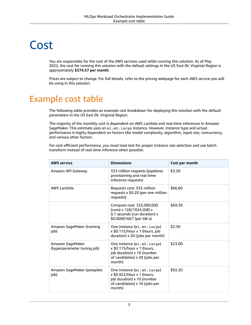## <span id="page-5-0"></span>Cost

You are responsible for the cost of the AWS services used while running this solution. As of May 2022, the cost for running this solution with the default settings in the US East (N. Virginia) Region is approximately **\$374.57 per month**.

Prices are subject to change. For full details, refer to the pricing webpage for each AWS service you will be using in this solution.

### <span id="page-5-1"></span>Example cost table

The following table provides an example cost breakdown for deploying this solution with the default parameters in the US East (N. Virginia) Region.

The majority of the monthly cost is dependent on AWS Lambda and real-time inferences in Amazon SageMaker. This estimate uses an m1.m5.large instance. However, instance type and actual performance is highly dependent on factors like model complexity, algorithm, input size, concurrency, and various other factors.

For cost-efficient performance, you must load test for proper instance size selection and use batch transform instead of real-time inference when possible.

| <b>AWS service</b>                              | <b>Dimensions</b>                                                                                                                 | Cost per month |
|-------------------------------------------------|-----------------------------------------------------------------------------------------------------------------------------------|----------------|
| Amazon API Gateway                              | 333 million requests (pipelines<br>provisioning and real-time<br>inference requests)                                              | \$3.50         |
| AWS Lambda                                      | Requests cost: 333 million<br>requests x \$0.20 (per one million<br>requests)                                                     | \$66.60        |
|                                                 | Compute cost: 333,000,000<br>(runs) x 128/1024 (GB) x<br>0.1 seconds (run duration) x<br>\$0.00001667 (per GB-s)                  | \$69.39        |
| Amazon SageMaker (training<br>job)              | One instance (ml.m5.large)<br>x \$0.115/hour x 1 (hours, job<br>duration) x 20 (jobs per month)                                   | \$2.30         |
| Amazon SageMaker<br>(hyperparameter tuning job) | One instance (ml.m5.large)<br>x \$0.115/hour x 1 (hours,<br>job duration) x 10 (number<br>of candidates) x 20 (jobs per<br>month) | \$23.00        |
| Amazon SageMaker (autopilot<br>job)             | One instance (ml.m5.large)<br>x \$0.922/hour x 1 (hours,<br>job duration) x 10 (number<br>of candidates) x 10 (jobs per<br>month) | \$92.20        |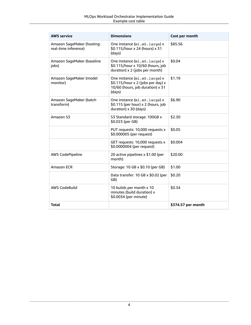| <b>AWS service</b>                                 | <b>Dimensions</b>                                                                                               | Cost per month     |
|----------------------------------------------------|-----------------------------------------------------------------------------------------------------------------|--------------------|
| Amazon SageMaker (hosting:<br>real-time inference) | One instance (ml.m5.large) x<br>\$0.115/hour x 24 (hours) x 31<br>(days)                                        | \$85.56            |
| Amazon SageMaker (baseline<br>jobs)                | One instance (ml.m5.large) x<br>\$0.115/hour x 10/60 (hours, job<br>duration) x 2 (jobs per month)              | \$0.04             |
| Amazon SageMaker (model<br>monitor)                | One instance (ml.m5.large) x<br>\$0.115/hour x 2 (jobs per day) x<br>10/60 (hours, job duration) x 31<br>(days) | \$1.19             |
| Amazon SageMaker (batch<br>transform)              | One instance (ml.m5.large) x<br>\$0.115 (per hour) x 2 (hours, job<br>duration) x 30 (days)                     | \$6.90             |
| Amazon S3                                          | S3 Standard storage: 100GB x<br>\$0.023 (per GB)                                                                | \$2.30             |
|                                                    | PUT requests: 10,000 requests x<br>\$0.000005 (per request)                                                     | \$0.05             |
|                                                    | GET requests: 10,000 requests x<br>\$0.0000004 (per request)                                                    | \$0.004            |
| <b>AWS CodePipeline</b>                            | 20 active pipelines x \$1.00 (per<br>month)                                                                     | \$20.00            |
| Amazon ECR                                         | Storage: 10 GB x \$0.10 (per GB)                                                                                | \$1.00             |
|                                                    | Data transfer: 10 GB x \$0.02 (per<br>GB)                                                                       | \$0.20             |
| <b>AWS CodeBuild</b>                               | 10 builds per month x 10<br>minutes (build duration) x<br>\$0.0034 (per minute)                                 | \$0.34             |
| <b>Total</b>                                       |                                                                                                                 | \$374.57 per month |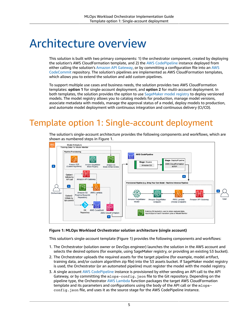## <span id="page-7-0"></span>Architecture overview

This solution is built with two primary components: 1) the orchestrator component, created by deploying the solution's AWS CloudFormation template, and 2) the AWS [CodePipeline](https://aws.amazon.com/codepipeline) instance deployed from either calling the solution's Amazon API [Gateway,](https://aws.amazon.com/api-gateway) or by committing a configuration file into an [AWS](https://aws.amazon.com/codecommit) [CodeCommit](https://aws.amazon.com/codecommit) repository. The solution's pipelines are implemented as AWS CloudFormation templates, which allows you to extend the solution and add custom pipelines.

To support multiple use cases and business needs, the solution provides two AWS CloudFormation templates: **option 1** for single-account deployment, and **option 2** for multi-account deployment. In both templates, the solution provides the option to use [SageMaker](https://docs.aws.amazon.com/sagemaker/latest/dg/model-registry.html) model registry to deploy versioned models. The model registry allows you to catalog models for production, manage model versions, associate metadata with models, manage the approval status of a model, deploy models to production, and automate model deployment with continuous integration and continuous delivery (CI/CD).

## <span id="page-7-1"></span>Template option 1: Single-account deployment

The solution's single-account architecture provides the following components and workflows, which are shown as numbered steps in Figure 1.



#### **Figure 1: MLOps Workload Orchestrator solution architecture (single account)**

This solution's single-account template (Figure 1) provides the following components and workflows:

- 1. The Orchestrator (solution owner or DevOps engineer) launches the solution in the AWS account and selects the desired options (for example, using SageMaker registry, or providing an existing S3 bucket).
- 2. The Orchestrator uploads the required assets for the target pipeline (for example, model artifact, training data, and/or custom algorithm zip file) into the S3 assets bucket. If SageMaker model registry is used, the Orchestrator (or an automated pipeline) must register the model with the model registry.
- 3. A single account AWS [CodePipeline](https://aws.amazon.com/codepipeline) instance is provisioned by either sending an API call to the API Gateway, or by committing the mlops-config.json file to the Git repository. Depending on the pipeline type, the Orchestrator AWS [Lambda](https://aws.amazon.com/lambda) function packages the target AWS CloudFormation template and its parameters and configurations using the body of the API call or the mlopsconfig.json file, and uses it as the source stage for the AWS CodePipeline instance.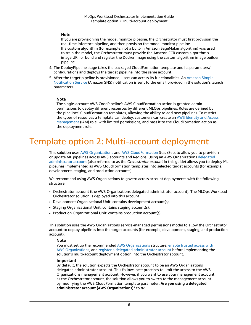#### **Note**

If you are provisioning the model monitor pipeline, the Orchestrator must first provision the real-time inference pipeline, and then provision the model monitor pipeline. If a custom algorithm (for example, not a built-in Amazon SageMaker algorithm) was used to train the model, the Orchestrator must provide the Amazon ECR custom algorithm's image URI, or build and register the Docker image using the custom algorithm image builder pipeline.

- 4. The DeployPipeline stage takes the packaged CloudFormation template and its parameters/ configurations and deploys the target pipeline into the same account.
- 5. After the target pipeline is provisioned, users can access its functionalities. An [Amazon](https://aws.amazon.com/sns) Simple [Notification](https://aws.amazon.com/sns) Service (Amazon SNS) notification is sent to the email provided in the solution's launch parameters.

#### **Note**

The single-account AWS CodePipeline's AWS CloudFormation action is granted admin permissions to deploy different resources by different MLOps pipelines. Roles are defined by the pipelines' CloudFormation templates, allowing the ability to add new pipelines. To restrict the types of resources a template can deploy, customers can create an AWS [Identity](https://aws.amazon.com/iam) and Access [Management](https://aws.amazon.com/iam) (IAM) role, with limited permissions, and pass it to the CloudFormation action as the deployment role.

## <span id="page-8-0"></span>Template option 2: Multi-account deployment

This solution uses AWS [Organizations](https://aws.amazon.com/organizations) and AWS [CloudFormation](https://aws.amazon.com/cloudformation) StackSets to allow you to provision or update ML pipelines across AWS accounts and Regions. Using an AWS Organizations [delegated](https://docs.aws.amazon.com/AWSCloudFormation/latest/UserGuide/stacksets-orgs-delegated-admin.html) [administrator](https://docs.aws.amazon.com/AWSCloudFormation/latest/UserGuide/stacksets-orgs-delegated-admin.html) account (also referred to as the *Orchestrator account* in this guide) allows you to deploy ML pipelines implemented as AWS CloudFormation templates into selected target accounts (for example, development, staging, and production accounts).

We recommend using AWS Organizations to govern across account deployments with the following structure:

- Orchestrator account (the AWS Organizations delegated administrator account). The MLOps Workload Orchestrator solution is deployed into this account.
- Development Organizational Unit: contains development account(s).
- Staging Organizational Unit: contains staging account(s).
- Production Organizational Unit: contains production account(s).

This solution uses the AWS Organizations service-managed permissions model to allow the Orchestrator account to deploy pipelines into the target accounts (for example, development, staging, and production account).

#### **Note**

You must set up the recommended AWS [Organizations](https://aws.amazon.com/organizations) structure, enable [trusted](https://docs.aws.amazon.com/AWSCloudFormation/latest/UserGuide/stacksets-orgs-enable-trusted-access.html) access with AWS [Organizations,](https://docs.aws.amazon.com/AWSCloudFormation/latest/UserGuide/stacksets-orgs-enable-trusted-access.html) and register a delegated [administrator](https://docs.aws.amazon.com/AWSCloudFormation/latest/UserGuide/stacksets-orgs-delegated-admin.html) account before implementing the solution's multi-account deployment option into the Orchestrator account.

#### **Important**

By default, the solution expects the Orchestrator account to be an AWS Organizations delegated administrator account. This follows best practices to limit the access to the AWS Organizations management account. However, if you want to use your management account as the Orchestrator account, the solution allows you to switch to the management account by modifying the AWS CloudFormation template parameter: **Are you using a delegated administrator account (AWS Organizations)?** to No.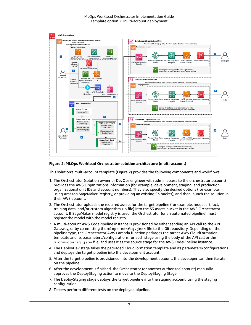

#### **Figure 2: MLOps Workload Orchestrator solution architecture (multi-account)**

This solution's multi-account template (Figure 2) provides the following components and workflows:

- 1. The Orchestrator (solution owner or DevOps engineer with admin access to the orchestrator account) provides the AWS Organizations information (for example, development, staging, and production organizational unit IDs and account numbers). They also specify the desired options (for example, using Amazon SageMaker Registry, or providing an existing S3 bucket), and then launch the solution in their AWS account.
- 2. The Orchestrator uploads the required assets for the target pipeline (for example, model artifact, training data, and/or custom algorithm zip file) into the S3 assets bucket in the AWS Orchestrator account. If SageMaker model registry is used, the Orchestrator (or an automated pipeline) must register the model with the model registry.
- 3. A multi-account AWS CodePipeline instance is provisioned by either sending an API call to the API Gateway, or by committing the mlops-config.json file to the Git repository. Depending on the pipeline type, the Orchestrator AWS Lambda function packages the target AWS CloudFormation template and its parameters/configurations for each stage using the body of the API call or the mlops-config.json file, and uses it as the source stage for the AWS CodePipeline instance.
- 4. The DeployDev stage takes the packaged CloudFormation template and its parameters/configurations and deploys the target pipeline into the development account.
- 5. After the target pipeline is provisioned into the development account, the developer can then iterate on the pipeline.
- 6. After the development is finished, the Orchestrator (or another authorized account) manually approves the DeployStaging action to move to the DeployStaging Stage.
- 7. The DeployStaging stage deploys the target pipeline into the staging account, using the staging configuration.
- 8. Testers perform different tests on the deployed pipeline.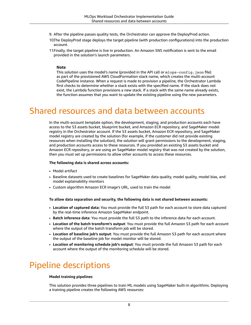- 9. After the pipeline passes quality tests, the Orchestrator can approve the DeployProd action.
- 10.The DeployProd stage deploys the target pipeline (with production configurations) into the production account.
- 11 Finally, the target pipeline is live in production. An Amazon SNS notification is sent to the email provided in the solution's launch parameters.

#### **Note**

This solution uses the model's name (provided in the API call or  $m$ lops-config.json file) as part of the provisioned AWS CloudFormation stack name, which creates the multi-account CodePipeline instance. When a request is made to provision a pipeline, the Orchestrator Lambda first checks to determine whether a stack exists with the specified name. If the stack does not exist, the Lambda function provisions a new stack. If a stack with the same name already exists, the function assumes that you want to update the existing pipeline using the new parameters.

### <span id="page-10-0"></span>Shared resources and data between accounts

In the multi-account template option, the development, staging, and production accounts each have access to the S3 assets bucket, blueprint bucket, and Amazon ECR repository, and SageMaker model registry in the Orchestrator account. If the S3 assets bucket, Amazon ECR repository, and SageMaker model registry are created by the solution (for example, if the customer did not provide existing resources when installing the solution), the solution will grant permissions to the development, staging, and production accounts access to these resources. If you provided an existing S3 assets bucket and Amazon ECR repository, or are using an SageMaker model registry that was not created by the solution, then you must set up permissions to allow other accounts to access these resources.

#### **The following data is shared across accounts:**

- Model artifact
- Baseline datasets used to create baselines for SageMaker data quality, model quality, model bias, and model explainability monitors
- Custom algorithm Amazon ECR image's URL, used to train the model

#### **To allow data separation and security, the following data is not shared between accounts:**

- **Location of captured data:** You must provide the full S3 path for each account to store data captured by the real-time inference Amazon SageMaker endpoint.
- **Batch inference data**: You must provide the full S3 path to the inference data for each account.
- **Location of the batch transform's output**: You must provide the full Amazon S3 path for each account where the output of the batch transform job will be stored.
- **Location of baseline job's output**: You must provide the full Amazon S3 path for each account where the output of the baseline job for model monitor will be stored.
- **Location of monitoring schedule job's output**: You must provide the full Amazon S3 path for each account where the output of the monitoring schedule will be stored.

## <span id="page-10-1"></span>Pipeline descriptions

#### **Model training pipelines**

This solution provides three pipelines to train ML models using SageMaker built-in algorithms. Deploying a training pipeline creates the following AWS resources: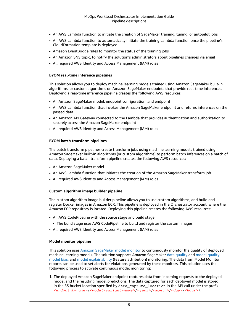- An AWS Lambda function to initiate the creation of SageMaker training, tuning, or autopilot jobs
- An AWS Lambda function to automatically initiate the training Lambda function once the pipeline's CloudFormation template is deployed
- Amazon EventBridge rules to monitor the status of the training jobs
- An Amazon SNS topic, to notify the solution's administrators about pipelines changes via email
- All required AWS Identity and Access Management (IAM) roles

#### **BYOM real-time inference pipelines**

This solution allows you to deploy machine learning models trained using Amazon SageMaker built-in algorithms, or custom algorithms on Amazon SageMaker endpoints that provide real-time inferences. Deploying a real-time inference pipeline creates the following AWS resources:

- An Amazon SageMaker model, endpoint configuration, and endpoint
- An AWS Lambda function that invokes the Amazon SageMaker endpoint and returns inferences on the passed data
- An Amazon API Gateway connected to the Lambda that provides authentication and authorization to securely access the Amazon SageMaker endpoint
- All required AWS Identity and Access Management (IAM) roles

#### **BYOM batch transform pipelines**

The batch transform pipelines create transform jobs using machine learning models trained using Amazon SageMaker built-in algorithms (or custom algorithms) to perform batch inferences on a batch of data. Deploying a batch transform pipeline creates the following AWS resources:

- An Amazon SageMaker model
- An AWS Lambda function that initiates the creation of the Amazon SageMaker transform job
- All required AWS Identity and Access Management (IAM) roles

#### **Custom algorithm image builder pipeline**

The custom algorithm image builder pipeline allows you to use custom algorithms, and build and register Docker images in Amazon ECR. This pipeline is deployed in the Orchestrator account, where the Amazon ECR repository is located. Deploying this pipeline creates the following AWS resources:

- An AWS CodePipeline with the source stage and build stage
- The build stage uses AWS CodePipeline to build and register the custom images
- All required AWS Identity and Access Management (IAM) roles

#### **Model monitor pipeline**

This solution uses Amazon [SageMaker](https://docs.aws.amazon.com/sagemaker/latest/dg/model-monitor.html) model monitor to continuously monitor the quality of deployed machine learning models. The solution supports Amazon SageMaker data [quality](https://docs.aws.amazon.com/sagemaker/latest/dg/model-monitor-data-quality.html) and model [quality,](https://docs.aws.amazon.com/sagemaker/latest/dg/model-monitor-model-quality.html) [model bias](https://docs.aws.amazon.com/sagemaker/latest/dg/clarify-model-monitor-bias-drift.html), and model [explainability](https://docs.aws.amazon.com/sagemaker/latest/dg/clarify-model-monitor-feature-attribution-drift.html) (feature attribution) monitoring. The data from Model Monitor reports can be used to set alerts for violations generated by these monitors. This solution uses the following process to activate continuous model monitoring:

1. The deployed Amazon SageMaker endpoint captures data from incoming requests to the deployed model and the resulting model predictions. The data captured for each deployed model is stored in the S3 bucket location specified by data capture location in the API call under the prefix *<endpoint-name>*/*<model-variant-name>*/*<year>*/*<month>*/*<day>*/*<hour>*/.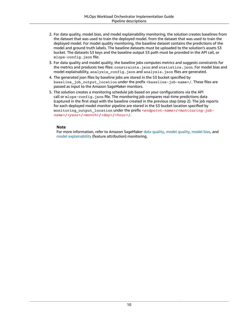- 2. For data quality, model bias, and model explainability monitoring, the solution creates baselines from the dataset that was used to train the deployed model. from the dataset that was used to train the deployed model. For model quality monitoring, the baseline dataset contains the predictions of the model and ground truth labels. The baseline datasets must be uploaded to the solution's assets S3 bucket. The datasets S3 keys and the baseline output S3 path must be provided in the API call, or mlops-config.json file.
- 3. For data quality and model quality, the baseline jobs computes metrics and suggests constraints for the metrics and produces two files: constraints.json and statistics.json. For model bias and model explainability, analysis\_config.json and analysis.json files are generated.
- 4. The generated json files by baseline jobs are stored in the S3 bucket specified by baseline\_job\_output\_location under the prefix <br/>baseline-job-name>/. These files are passed as input to the Amazon SageMaker monitors.
- 5. The solution creates a monitoring schedule job based on your configurations via the API call or mlops-config. json file. The monitoring job compares real-time predictions data (captured in the first step) with the baseline created in the previous step (step 2). The job reports for each deployed model monitor pipeline are stored in the S3 bucket location specified by monitoring\_output\_location under the prefix *<endpoint-name>*/*<monitoring-jobname>*/*<year>*/*<month>*/*<day>*/*<hour>*/.

#### **Note**

For more information, refer to Amazon SageMaker data [quality,](https://docs.aws.amazon.com/sagemaker/latest/dg/model-monitor-model-quality.html) model quality, [model bias](https://docs.aws.amazon.com/sagemaker/latest/dg/clarify-model-monitor-bias-drift.html), and model [explainability](https://docs.aws.amazon.com/sagemaker/latest/dg/clarify-model-monitor-feature-attribution-drift.html) (feature attribution) monitoring.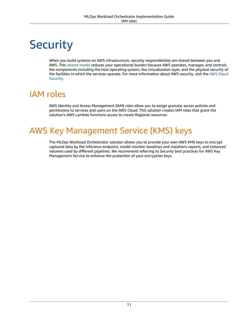# <span id="page-13-0"></span>**Security**

When you build systems on AWS infrastructure, security responsibilities are shared between you and AWS. This [shared](http://aws.amazon.com/compliance/shared-responsibility-model/) model reduces your operational burden because AWS operates, manages, and controls the components including the host operating system, the virtualization layer, and the physical security of the facilities in which the services operate. For more information about AWS security, visit the AWS [Cloud](http://aws.amazon.com/security/) [Security.](http://aws.amazon.com/security/)

## <span id="page-13-1"></span>IAM roles

AWS Identity and Access Management (IAM) roles allow you to assign granular access policies and permissions to services and users on the AWS Cloud. This solution creates IAM roles that grant the solution's AWS Lambda functions access to create Regional resources.

## <span id="page-13-2"></span>AWS Key Management Service (KMS) keys

The MLOps Workload Orchestrator solution allows you to provide your own AWS KMS keys to encrypt captured data by the inference endpoint, model monitor baselines and violations reports, and instances' volumes used by different pipelines. We recommend referring to Security best practices for AWS Key Management Service to enhance the protection of your encryption keys.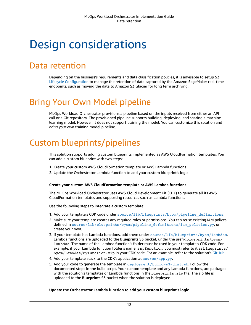## <span id="page-14-0"></span>Design considerations

## <span id="page-14-1"></span>Data retention

Depending on the business's requirements and data classification policies, it is advisable to setup S3 Lifecycle [Configuration](https://docs.aws.amazon.com/AmazonS3/latest/userguide/object-lifecycle-mgmt.html) to manage the retention of data captured by the Amazon SageMaker real-time endpoints, such as moving the data to Amazon S3 Glacier for long term archiving.

## <span id="page-14-2"></span>Bring Your Own Model pipeline

MLOps Workload Orchestrator provisions a pipeline based on the inputs received from either an API call or a Git repository. The provisioned pipeline supports building, deploying, and sharing a machine learning model. However, it does not support training the model. You can customize this solution and *bring your own* training model pipeline.

## <span id="page-14-3"></span>Custom blueprints/pipelines

This solution supports adding custom blueprints implemented as AWS CloudFormation templates. You can add a custom blueprint with two steps:

- 1. Create your custom AWS CloudFormation template or AWS Lambda functions
- 2. Update the Orchestrator Lambda function to add your custom blueprint's logic

#### **Create your custom AWS CloudFormation template or AWS Lambda functions**

The MLOps Workload Orchestrator uses AWS Cloud Development Kit (CDK) to generate all its AWS CloudFormation templates and supporting resources such as Lambda functions.

Use the following steps to integrate a custom template:

- 1. Add your template's CDK code under [source/lib/blueprints/byom/pipeline\\_definitions](https://github.com/aws-solutions/mlops-workload-orchestrator/tree/main/source/lib/blueprints/byom/pipeline_definitions).
- 2. Make sure your template creates any required roles or permissions. You can reuse existing IAM polices defined in [source/lib/blueprints/byom/pipeline\\_definitions/iam\\_policies.py](https://github.com/aws-solutions/mlops-workload-orchestrator/blob/main/source/lib/blueprints/byom/pipeline_definitions/iam_policies.py), or create your own.
- 3. If your template has Lambda functions, add them under [source/lib/blueprints/byom/lambdas](https://github.com/aws-solutions/mlops-workload-orchestrator/tree/main/source/lib/blueprints/byom/lambdas). Lambda functions are uploaded to the **Blueprints** S3 bucket, under the prefix blueprints/byom/ lambdas. The name of the Lambda function's folder must be used in your template's CDK code. For example, if your Lambda function folder's name is myfunction, you must refer to it as blueprints/ byom/lambdas/myfunction.zip in your CDK code. For an example, refer to the solution's [GitHub.](https://github.com/aws-solutions/mlops-workload-orchestrator/blob/main/source/lib/blueprints/byom/realtime_inference_pipeline.py#L73)
- 4. Add your template stack to the CDK's application at [source/app.py](https://github.com/aws-solutions/mlops-workload-orchestrator/blob/main/source/app.py).
- 5. Add your code to generate the template in [deployment/build-s3-dist.sh](https://github.com/aws-solutions/mlops-workload-orchestrator/blob/main/deployment/build-s3-dist.sh). Follow the documented steps in the build script. Your custom template and any Lambda functions, are packaged with the solution's templates or Lambda functions in the blueprints. zip file. The zip file is uploaded to the **Blueprints** S3 bucket when the solution is deployed.

#### **Update the Orchestrator Lambda function to add your custom blueprint's logic**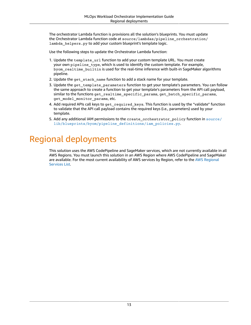The orchestrator Lambda function is provisions all the solution's blueprints. You must update the Orchestrator Lambda function code at source/lambdas/pipeline\_orchestration/ lambda\_helpers.py to add your custom blueprint's template logic.

Use the following steps to update the Orchestrator Lambda function:

- 1. Update the template\_url function to add your custom template URL. You must create your own pipeline\_type, which is used to identify the custom template. For example, byom\_realtime\_builtin is used for the real-time inference with built-in SageMaker algorithms pipeline.
- 2. Update the get\_stack\_name function to add a stack name for your template.
- 3. Update the get\_template\_parameters function to get your template's parameters. You can follow the same approach to create a function to get your template's parameters from the API call payload, similar to the functions get realtime specific params, get batch specific params, get\_model\_monitor\_params, etc.
- 4. Add required APIs call keys to get required keys. This function is used by the "validate" function to validate that the API call payload contains the required keys (i.e., parameters) used by your template.
- 5. Add any additional IAM permissions to the create orchestrator policy function in [source/](https://github.com/aws-solutions/mlops-workload-orchestrator/blob/main/source/lib/blueprints/byom/pipeline_definitions/iam_policies.py) [lib/blueprints/byom/pipeline\\_definitions/iam\\_policies.py](https://github.com/aws-solutions/mlops-workload-orchestrator/blob/main/source/lib/blueprints/byom/pipeline_definitions/iam_policies.py).

## <span id="page-15-0"></span>Regional deployments

This solution uses the AWS CodePipeline and SageMaker services, which are not currently available in all AWS Regions. You must launch this solution in an AWS Region where AWS CodePipeline and SageMaker are available. For the most current availability of AWS services by Region, refer to the AWS [Regional](http://aws.amazon.com/about-aws/global-infrastructure/regional-product-services/) [Services](http://aws.amazon.com/about-aws/global-infrastructure/regional-product-services/) List.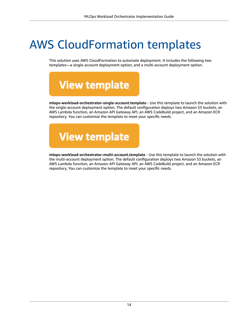## <span id="page-16-0"></span>AWS CloudFormation templates

This solution uses AWS CloudFormation to automate deployment. It includes the following two templates—a single-account deployment option, and a multi-account deployment option.

**View template** 

**mlops-workload-orchestrator-single-account.template** - Use this template to launch the solution with the single-account deployment option. The default configuration deploys two Amazon S3 buckets, an AWS Lambda function, an Amazon API Gateway API, an AWS CodeBuild project, and an Amazon ECR repository. You can customize the template to meet your specific needs.



**mlops-workload-orchestrator-multi-account.template** - Use this template to launch the solution with the multi-account deployment option. The default configuration deploys two Amazon S3 buckets, an AWS Lambda function, an Amazon API Gateway API, an AWS CodeBuild project, and an Amazon ECR repository. You can customize the template to meet your specific needs.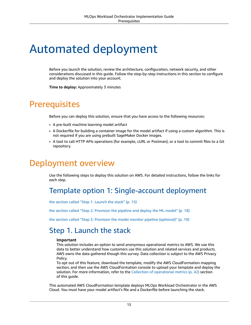## <span id="page-17-0"></span>Automated deployment

Before you launch the solution, review the architecture, configuration, network security, and other considerations discussed in this guide. Follow the step-by-step instructions in this section to configure and deploy the solution into your account.

**Time to deploy:** Approximately 3 minutes

### <span id="page-17-1"></span>**Prerequisites**

Before you can deploy this solution, ensure that you have access to the following resources:

- A pre-built machine learning model artifact
- A Dockerfile for building a container image for the model artifact if using a custom algorithm. This is not required if you are using prebuilt SageMaker Docker images.
- A tool to call HTTP APIs operations (for example, cURL or Postman), or a tool to commit files to a Git repository.

## <span id="page-17-2"></span>Deployment overview

Use the following steps to deploy this solution on AWS. For detailed instructions, follow the links for each step.

### <span id="page-17-3"></span>Template option 1: Single-account deployment

the section called "Step 1. [Launch](#page-17-4) the stack" [\(p. 15\)](#page-17-4)

the section called "Step 2. [Provision](#page-20-0) the pipeline and deploy the ML model" [\(p. 18\)](#page-20-0)

the section called "Step 3. Provision the model monitor pipeline [\(optional\)" \(p. 19\)](#page-21-0)

### <span id="page-17-4"></span>Step 1. Launch the stack

#### **Important**

This solution includes an option to send anonymous operational metrics to AWS. We use this data to better understand how customers use this solution and related services and products. AWS owns the data gathered though this survey. Data collection is subject to the AWS Privacy Policy.

To opt out of this feature, download the template, modify the AWS CloudFormation mapping section, and then use the AWS CloudFormation console to upload your template and deploy the solution. For more information, refer to the Collection of [operational](#page-44-0) metric[s \(p. 42\)](#page-44-0) section of this guide.

This automated AWS CloudFormation template deploys MLOps Workload Orchestrator in the AWS Cloud. You must have your model artifact's file and a Dockerfile before launching the stack.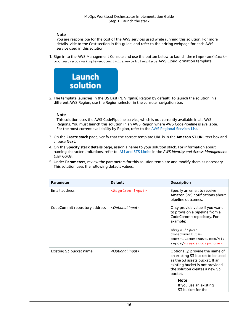#### **Note**

You are responsible for the cost of the AWS services used while running this solution. For more details, visit to the Cost section in this guide, and refer to the pricing webpage for each AWS service used in this solution.

1. Sign in to the AWS Management Console and use the button below to launch the mlops-workloadorchestrator-single-account-framework.template AWS CloudFormation template.



2. The template launches in the US East (N. Virginia) Region by default. To launch the solution in a different AWS Region, use the Region selector in the console navigation bar.

#### **Note**

This solution uses the AWS CodePipeline service, which is not currently available in all AWS Regions. You must launch this solution in an AWS Region where AWS CodePipeline is available. For the most current availability by Region, refer to the AWS [Regional](http://aws.amazon.com/about-aws/global-infrastructure/regional-product-services/) Services List.

- 3. On the **Create stack** page, verify that the correct template URL is in the **Amazon S3 URL** text box and choose **Next**.
- 4. On the **Specify stack details** page, assign a name to your solution stack. For information about naming character limitations, refer to [IAM and STS Limits](https://docs.aws.amazon.com/IAM/latest/UserGuide/reference_iam-limits.html) in the *AWS Identity and Access Management User Guide*.
- 5. Under **Parameters**, review the parameters for this solution template and modify them as necessary. This solution uses the following default values.

| Parameter                     | <b>Default</b>                 | <b>Description</b>                                                                                                                                                                                                                                  |
|-------------------------------|--------------------------------|-----------------------------------------------------------------------------------------------------------------------------------------------------------------------------------------------------------------------------------------------------|
| <b>Email address</b>          | <requires input=""></requires> | Specify an email to receive<br>Amazon SNS notifications about<br>pipeline outcomes.                                                                                                                                                                 |
| CodeCommit repository address | <optional input=""></optional> | Only provide value if you want<br>to provision a pipeline from a<br>CodeCommit repository. For<br>example:<br>$https://git-$<br>codecommit.us-<br>east-1.amazonaws.com/v1/<br>repos/ <repository-name></repository-name>                            |
| Existing S3 bucket name       | <optional input=""></optional> | Optionally, provide the name of<br>an existing S3 bucket to be used<br>as the S3 assets bucket. If an<br>existing bucket is not provided,<br>the solution creates a new S3<br>bucket.<br><b>Note</b><br>If you use an existing<br>S3 bucket for the |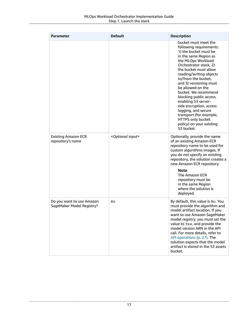| <b>Parameter</b>                                       | <b>Default</b>                 | <b>Description</b>                                                                                                                                                                                                                                                                                                                                                                                                                                                                                |
|--------------------------------------------------------|--------------------------------|---------------------------------------------------------------------------------------------------------------------------------------------------------------------------------------------------------------------------------------------------------------------------------------------------------------------------------------------------------------------------------------------------------------------------------------------------------------------------------------------------|
|                                                        |                                | bucket must meet the<br>following requirements:<br>1) the bucket must be<br>in the same Region as<br>the MLOps Workload<br>Orchestrator stack, 2)<br>the bucket must allow<br>reading/writing objects<br>to/from the bucket,<br>and 3) versioning must<br>be allowed on the<br>bucket. We recommend<br>blocking public access,<br>enabling S3 server-<br>side encryption, access<br>logging, and secure<br>transport (for example,<br>HTTPS only bucket<br>policy) on your existing<br>S3 bucket. |
| <b>Existing Amazon ECR</b><br>repository's name        | <optional input=""></optional> | Optionally, provide the name<br>of an existing Amazon ECR<br>repository name to be used for<br>custom algorithms images. If<br>you do not specify an existing<br>repository, the solution creates a<br>new Amazon ECR repository.<br>Note<br>The Amazon ECR<br>repository must be<br>in the same Region                                                                                                                                                                                           |
|                                                        |                                | where the solution is<br>deployed.                                                                                                                                                                                                                                                                                                                                                                                                                                                                |
| Do you want to use Amazon<br>SageMaker Model Registry? | No                             | By default, this value is No. You<br>must provide the algorithm and<br>model artifact location. If you<br>want to use Amazon SageMaker<br>model registry, you must set the<br>value to Yes, and provide the<br>model version ARN in the API<br>call. For more details, refer to<br>API operations (p. 27). The<br>solution expects that the model<br>artifact is stored in the S3 assets<br>bucket.                                                                                               |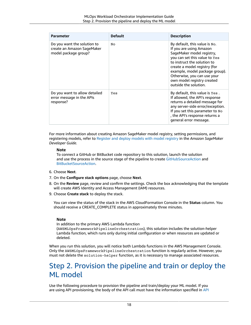| <b>Parameter</b>                                                                  | <b>Default</b> | <b>Description</b>                                                                                                                                                                                                                                                                                            |
|-----------------------------------------------------------------------------------|----------------|---------------------------------------------------------------------------------------------------------------------------------------------------------------------------------------------------------------------------------------------------------------------------------------------------------------|
| Do you want the solution to<br>create an Amazon SageMaker<br>model package group? | No             | By default, this value is No.<br>If you are using Amazon<br>SageMaker model registry,<br>you can set this value to Yes<br>to instruct the solution to<br>create a model registry (for<br>example, model package group).<br>Otherwise, you can use your<br>own model registry created<br>outside the solution. |
| Do you want to allow detailed<br>error message in the APIs<br>response?           | Yes            | By default, this value is Yes.<br>If allowed, the API's response<br>returns a detailed message for<br>any server-side error/exception.<br>If you set this parameter to No<br>, the API's response returns a<br>general error message.                                                                         |

For more information about creating Amazon SageMaker model registry, setting permissions, and registering models, refer to [Register](https://docs.aws.amazon.com/sagemaker/latest/dg/model-registry.html) and deploy models with model registry in the *Amazon SageMaker Developer Guide*.

#### **Note**

To connect a GitHub or BitBucket code repository to this solution, launch the solution and use the process in the source stage of the pipeline to create [GitHubSourceAction](https://docs.aws.amazon.com/cdk/api/latest/python/#github) and [BitBucketSourceAction.](https://docs.aws.amazon.com/cdk/api/latest/python/#bitbucket)

- 6. Choose **Next**.
- 7. On the **Configure stack options** page, choose **Next**.
- 8. On the **Review** page, review and confirm the settings. Check the box acknowledging that the template will create AWS Identity and Access Management (IAM) resources.
- 9. Choose **Create stack** to deploy the stack.

You can view the status of the stack in the AWS CloudFormation Console in the **Status** column. You should receive a CREATE\_COMPLETE status in approximately three minutes.

#### **Note**

In addition to the primary AWS Lambda function

(AWSMLOpsFrameworkPipelineOrchestration), this solution includes the solution-helper Lambda function, which runs only during initial configuration or when resources are updated or deleted.

When you run this solution, you will notice both Lambda functions in the AWS Management Console. Only the AWSMLOpsFrameworkPipelineOrchestration function is regularly active. However, you must not delete the solution-helper function, as it is necessary to manage associated resources.

### <span id="page-20-0"></span>Step 2. Provision the pipeline and train or deploy the ML model

Use the following procedure to provision the pipeline and train/deploy your ML model. If you are using API provisioning, the body of the API call must have the information specified in [API](#page-29-0)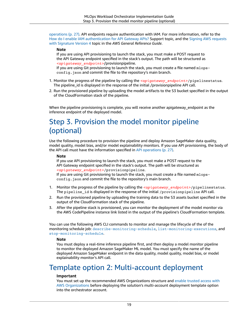[operations \(p. 27\).](#page-29-0) API endpoints require authentication with IAM. For more information, refer to the How do I enable IAM [authentication](https://aws.amazon.com/premiumsupport/knowledge-center/iam-authentication-api-gateway/) for API Gateway APIs? Support topic, and the Signing AWS [requests](https://docs.aws.amazon.com/general/latest/gr/sigv4_signing.html) with [Signature](https://docs.aws.amazon.com/general/latest/gr/sigv4_signing.html) Version 4 topic in the *AWS General Reference Guide*.

#### **Note**

If you are using API provisioning to launch the stack, you must make a POST request to the API Gateway endpoint specified in the stack's output. The path will be structured as *<apigateway\_endpoint>*/provisionpipeline.

If you are using Git provisioning to launch the stack, you must create a file named mlopsconfig.json and commit the file to the repository's main branch.

- 1. Monitor the progress of the pipeline by calling the *<apigateway\_endpoint>*/pipelinestatus. The pipeline\_id is displayed in the response of the initial /provisionpipeline API call.
- 2. Run the provisioned pipeline by uploading the model artifacts to the S3 bucket specified in the output of the CloudFormation stack of the pipeline.

When the pipeline provisioning is complete, you will receive another apigateway\_endpoint as the inference endpoint of the deployed model.

### <span id="page-21-0"></span>Step 3. Provision the model monitor pipeline (optional)

Use the following procedure to provision the pipeline and deploy Amazon SageMaker data quality, model quality, model bias, and/or model explainability monitors. If you use API provisioning, the body of the API call must have the information specified in [API operations \(p. 27\)](#page-29-0).

#### **Note**

If you use API provisioning to launch the stack, you must make a POST request to the API Gateway endpoint specified in the stack's output. The path will be structured as *<apigateway\_endpoint>*/provisionpipeline.

If you are using Git provisioning to launch the stack, you must create a file named mlopsconfig. json and commit the file to the repository's main branch.

- 1. Monitor the progress of the pipeline by calling the *<apigateway\_endpoint>*/pipelinestatus. The pipeline\_id is displayed in the response of the initial /provisionpipeline API call.
- 2. Run the provisioned pipeline by uploading the training data to the S3 assets bucket specified in the output of the CloudFormation stack of the pipeline.
- 3. After the pipeline stack is provisioned, you can monitor the deployment of the model monitor via the AWS CodePipeline instance link listed in the output of the pipeline's CloudFormation template.

You can use the following AWS CLI commands to monitor and manage the lifecycle of the of the monitoring schedule job: [describe-monitoring-schedule](https://docs.aws.amazon.com/cli/latest/reference/sagemaker/describe-monitoring-schedule.html), [list-monitoring-executions](https://docs.aws.amazon.com/cli/latest/reference/sagemaker/list-monitoring-executions.html), and [stop-monitoring-schedule](https://docs.aws.amazon.com/cli/latest/reference/sagemaker/stop-monitoring-schedule.html).

#### **Note**

You must deploy a real-time inference pipeline first, and then deploy a model monitor pipeline to monitor the deployed Amazon SageMaker ML model. You must specify the name of the deployed Amazon SageMaker endpoint in the data quality, model quality, model bias, or model explainability monitor's API call.

### <span id="page-21-1"></span>Template option 2: Multi-account deployment

#### **Important**

You must set up the recommended AWS Organizations structure and enable [trusted](https://docs.aws.amazon.com/AWSCloudFormation/latest/UserGuide/stacksets-orgs-enable-trusted-access.html) access with AWS [Organizations](https://docs.aws.amazon.com/AWSCloudFormation/latest/UserGuide/stacksets-orgs-enable-trusted-access.html) before deploying the solution's multi-account deployment template option into the orchestrator account.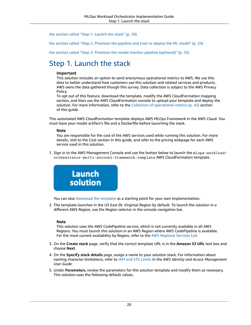the section called "Step 1. [Launch](#page-22-0) the stack" [\(p. 20\)](#page-22-0)

the section called "Step 2. [Provision](#page-26-0) the pipeline and train or deploy the ML model" [\(p. 24\)](#page-26-0)

the section called "Step 3. Provision the model monitor pipeline [\(optional\)" \(p. 25\)](#page-27-0)

### <span id="page-22-0"></span>Step 1. Launch the stack

#### **Important**

This solution includes an option to send anonymous operational metrics to AWS. We use this data to better understand how customers use this solution and related services and products. AWS owns the data gathered though this survey. Data collection is subject to the AWS Privacy Policy.

To opt out of this feature, download the template, modify the AWS CloudFormation mapping section, and then use the AWS CloudFormation console to upload your template and deploy the solution. For more information, refer to the Collection of [operational](#page-44-0) metric[s \(p. 42\)](#page-44-0) section of this guide.

This automated AWS CloudFormation template deploys AWS MLOps Framework in the AWS Cloud. You must have your model artifact's file and a Dockerfile before launching the stack.

#### **Note**

You are responsible for the cost of the AWS services used while running this solution. For more details, visit to the Cost section in this guide, and refer to the pricing webpage for each AWS service used in this solution.

1. Sign in to the AWS Management Console and use the button below to launch the mlops-workloadorchestrator-multi-account-framework.template AWS CloudFormation template.



You can also [download](https://solutions-reference.s3.amazonaws.com/mlops-workload-orchestrator/latest/mlops-workload-orchestrator-multi-account-framework.template) the template as a starting point for your own implementation.

2. The template launches in the US East (N. Virginia) Region by default. To launch the solution in a different AWS Region, use the Region selector in the console navigation bar.

#### **Note**

This solution uses the AWS CodePipeline service, which is not currently available in all AWS Regions. You must launch this solution in an AWS Region where AWS CodePipeline is available. For the most current availability by Region, refer to the AWS [Regional](http://aws.amazon.com/about-aws/global-infrastructure/regional-product-services/) Services List.

- 3. On the **Create stack** page, verify that the correct template URL is in the **Amazon S3 URL** text box and choose **Next**.
- 4. On the **Specify stack details** page, assign a name to your solution stack. For information about naming character limitations, refer to [IAM and STS Limits](https://docs.aws.amazon.com/IAM/latest/UserGuide/reference_iam-limits.html) in the *AWS Identity and Access Management User Guide*.
- 5. Under **Parameters**, review the parameters for this solution template and modify them as necessary. This solution uses the following default values.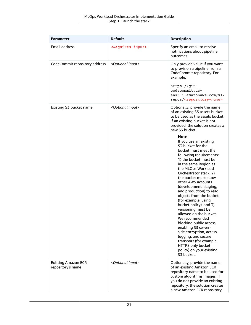| <b>Parameter</b>                                | <b>Default</b>                 | <b>Description</b>                                                                                                                                                                                                                                                                                                                                                                                                                                                                                                                                                                                                                                              |
|-------------------------------------------------|--------------------------------|-----------------------------------------------------------------------------------------------------------------------------------------------------------------------------------------------------------------------------------------------------------------------------------------------------------------------------------------------------------------------------------------------------------------------------------------------------------------------------------------------------------------------------------------------------------------------------------------------------------------------------------------------------------------|
| <b>Email address</b>                            | <requires input=""></requires> | Specify an email to receive<br>notifications about pipeline<br>outcomes.                                                                                                                                                                                                                                                                                                                                                                                                                                                                                                                                                                                        |
| CodeCommit repository address                   | <optional input=""></optional> | Only provide value if you want<br>to provision a pipeline from a<br>CodeCommit repository. For<br>example:                                                                                                                                                                                                                                                                                                                                                                                                                                                                                                                                                      |
|                                                 |                                | https://git-<br>codecommit.us-<br>east-1.amazonaws.com/v1/<br>repos/ <repository-name></repository-name>                                                                                                                                                                                                                                                                                                                                                                                                                                                                                                                                                        |
| Existing S3 bucket name                         | <optional input=""></optional> | Optionally, provide the name<br>of an existing S3 assets bucket<br>to be used as the assets bucket.<br>If an existing bucket is not<br>provided, the solution creates a<br>new S3 bucket.                                                                                                                                                                                                                                                                                                                                                                                                                                                                       |
|                                                 |                                | <b>Note</b><br>If you use an existing<br>S3 bucket for the<br>bucket must meet the<br>following requirements:<br>1) the bucket must be<br>in the same Region as<br>the MLOps Workload<br>Orchestrator stack, 2)<br>the bucket must allow<br>other AWS accounts<br>(development, staging,<br>and production) to read<br>objects from the bucket<br>(for example, using<br>bucket policy), and 3)<br>versioning must be<br>allowed on the bucket.<br>We recommended<br>blocking public access,<br>enabling S3 server-<br>side encryption, access<br>logging, and secure<br>transport (for example,<br>HTTPS only bucket<br>policy) on your existing<br>S3 bucket. |
| <b>Existing Amazon ECR</b><br>repository's name | <optional input=""></optional> | Optionally, provide the name<br>of an existing Amazon ECR<br>repository name to be used for<br>custom algorithms images. If<br>you do not provide an existing<br>repository, the solution creates<br>a new Amazon ECR repository                                                                                                                                                                                                                                                                                                                                                                                                                                |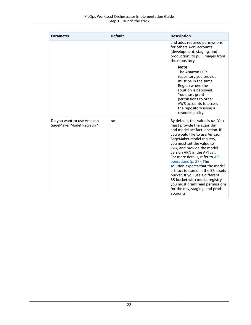| <b>Parameter</b>                                       | <b>Default</b> | <b>Description</b>                                                                                                                                                                                                                                                                                                                                                                                                                                                                                                                                      |
|--------------------------------------------------------|----------------|---------------------------------------------------------------------------------------------------------------------------------------------------------------------------------------------------------------------------------------------------------------------------------------------------------------------------------------------------------------------------------------------------------------------------------------------------------------------------------------------------------------------------------------------------------|
|                                                        |                | and adds required permissions<br>for others AWS accounts<br>(development, staging, and<br>production) to pull images from<br>the repository.                                                                                                                                                                                                                                                                                                                                                                                                            |
|                                                        |                | <b>Note</b><br>The Amazon ECR<br>repository you provide<br>must be in the same<br>Region where the<br>solution is deployed.<br>You must grant<br>permissions to other<br>AWS accounts to access<br>the repository using a<br>resource policy.                                                                                                                                                                                                                                                                                                           |
| Do you want to use Amazon<br>SageMaker Model Registry? | No             | By default, this value is No. You<br>must provide the algorithm<br>and model artifact location. If<br>you would like to use Amazon<br>SageMaker model registry,<br>you must set the value to<br>Yes, and provide the model<br>version ARN in the API call.<br>For more details, refer to API<br>operations (p. 27). The<br>solution expects that the model<br>artifact is stored in the S3 assets<br>bucket. If you use a different<br>S3 bucket with model registry,<br>you must grant read permissions<br>for the dev, staging, and prod<br>accounts. |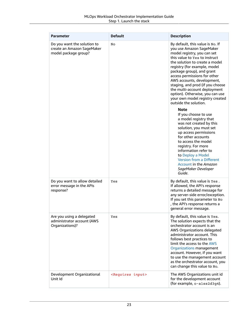| <b>Parameter</b>                                                                  | <b>Default</b>                 | <b>Description</b>                                                                                                                                                                                                                                                                                                                                                                                                                                           |
|-----------------------------------------------------------------------------------|--------------------------------|--------------------------------------------------------------------------------------------------------------------------------------------------------------------------------------------------------------------------------------------------------------------------------------------------------------------------------------------------------------------------------------------------------------------------------------------------------------|
| Do you want the solution to<br>create an Amazon SageMaker<br>model package group? | No                             | By default, this value is No. If<br>you use Amazon SageMaker<br>model registry, you can set<br>this value to Yes to instruct<br>the solution to create a model<br>registry (for example, model<br>package group), and grant<br>access permissions for other<br>AWS accounts, development,<br>staging, and prod (if you choose<br>the multi-account deployment<br>option). Otherwise, you can use<br>your own model registry created<br>outside the solution. |
|                                                                                   |                                | <b>Note</b><br>If you choose to use<br>a model registry that<br>was not created by this<br>solution, you must set<br>up access permissions<br>for other accounts<br>to access the model<br>registry. For more<br>information refer to<br>to Deploy a Model<br><b>Version from a Different</b><br>Account in the Amazon<br>SageMaker Developer<br>Guide.                                                                                                      |
| Do you want to allow detailed<br>error message in the APIs<br>response?           | Yes                            | By default, this value is Yes.<br>If allowed, the API's response<br>returns a detailed message for<br>any server-side error/exception.<br>If you set this parameter to No<br>, the API's response returns a<br>general error message.                                                                                                                                                                                                                        |
| Are you using a delegated<br>administrator account (AWS<br>Organizations)?        | Yes                            | By default, this value is Yes.<br>The solution expects that the<br>orchestrator account is an<br>AWS Organizations delegated<br>administrator account. This<br>follows best practices to<br>limit the access to the AWS<br>Organizations management<br>account. However, if you want<br>to use the management account<br>as the orchestrator account, you<br>can change this value to No.                                                                    |
| Development Organizational<br>Unit Id                                             | <requires input=""></requires> | The AWS Organizations unit id<br>for the development account<br>(for example, o-a1ss2d3g4).                                                                                                                                                                                                                                                                                                                                                                  |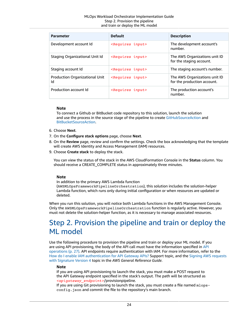| <b>Parameter</b>                            | <b>Default</b>                 | <b>Description</b>                                           |
|---------------------------------------------|--------------------------------|--------------------------------------------------------------|
| Development account Id                      | <requires input=""></requires> | The development account's<br>number.                         |
| Staging Organizational Unit Id              | <requires input=""></requires> | The AWS Organizations unit ID<br>for the staging account.    |
| Staging account Id                          | <requires input=""></requires> | The staging account's number.                                |
| <b>Production Organizational Unit</b><br>Id | <requires input=""></requires> | The AWS Organizations unit ID<br>for the production account. |
| Production account Id                       | <requires input=""></requires> | The production account's<br>number.                          |

#### **Note**

To connect a Github or BitBucket code repository to this solution, launch the solution and use the process in the source stage of the pipeline to create [GitHubSourceAction](https://docs.aws.amazon.com/cdk/api/latest/python/#github) and [BitBucketSourceAction.](https://docs.aws.amazon.com/cdk/api/latest/python/#bitbucket)

- 6. Choose **Next**.
- 7. On the **Configure stack options** page, choose **Next**.
- 8. On the **Review** page, review and confirm the settings. Check the box acknowledging that the template will create AWS Identity and Access Management (IAM) resources.
- 9. Choose **Create stack** to deploy the stack.

You can view the status of the stack in the AWS CloudFormation Console in the **Status** column. You should receive a CREATE\_COMPLETE status in approximately three minutes.

#### **Note**

In addition to the primary AWS Lambda function

(AWSMLOpsFrameworkPipelineOrchestration), this solution includes the solution-helper Lambda function, which runs only during initial configuration or when resources are updated or deleted.

When you run this solution, you will notice both Lambda functions in the AWS Management Console. Only the AWSMLOpsFrameworkPipelineOrchestration function is regularly active. However, you must not delete the solution-helper function, as it is necessary to manage associated resources.

### <span id="page-26-0"></span>Step 2. Provision the pipeline and train or deploy the ML model

Use the following procedure to provision the pipeline and train or deploy your ML model. If you are using API provisioning, the body of the API call must have the information specified in [API](#page-29-0) [operations \(p. 27\).](#page-29-0) API endpoints require authentication with IAM. For more information, refer to the How do I enable IAM [authentication](https://aws.amazon.com/premiumsupport/knowledge-center/iam-authentication-api-gateway/) for API Gateway APIs? Support topic, and the Signing AWS [requests](https://docs.aws.amazon.com/general/latest/gr/sigv4_signing.html) with [Signature](https://docs.aws.amazon.com/general/latest/gr/sigv4_signing.html) Version 4 topic in the *AWS General Reference Guide*.

#### **Note**

If you are using API provisioning to launch the stack, you must make a POST request to the API Gateway endpoint specified in the stack's output. The path will be structured as *<apigateway\_endpoint>*/provisionpipeline.

If you are using Git provisioning to launch the stack, you must create a file named mlopsconfig.json and commit the file to the repository's main branch.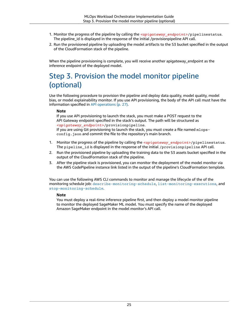- 1. Monitor the progress of the pipeline by calling the *<apigateway* endpoint>/pipelinestatus. The pipeline\_id is displayed in the response of the initial /provisionpipeline API call.
- 2. Run the provisioned pipeline by uploading the model artifacts to the S3 bucket specified in the output of the CloudFormation stack of the pipeline.

When the pipeline provisioning is complete, you will receive another apigateway\_endpoint as the inference endpoint of the deployed model.

### <span id="page-27-0"></span>Step 3. Provision the model monitor pipeline (optional)

Use the following procedure to provision the pipeline and deploy data quality, model quality, model bias, or model explainability monitor. If you use API provisioning, the body of the API call must have the information specified in [API operations \(p. 27\)](#page-29-0).

#### **Note**

If you use API provisioning to launch the stack, you must make a POST request to the API Gateway endpoint specified in the stack's output. The path will be structured as *<apigateway\_endpoint>*/provisionpipeline.

If you are using Git provisioning to launch the stack, you must create a file named mlopsconfig.json and commit the file to the repository's main branch.

- 1. Monitor the progress of the pipeline by calling the *<apigateway\_endpoint>*/pipelinestatus. The pipeline\_id is displayed in the response of the initial /provisionpipeline API call.
- 2. Run the provisioned pipeline by uploading the training data to the S3 assets bucket specified in the output of the CloudFormation stack of the pipeline.
- 3. After the pipeline stack is provisioned, you can monitor the deployment of the model monitor via the AWS CodePipeline instance link listed in the output of the pipeline's CloudFormation template.

You can use the following AWS CLI commands to monitor and manage the lifecycle of the of the monitoring schedule job: [describe-monitoring-schedule](https://docs.aws.amazon.com/cli/latest/reference/sagemaker/describe-monitoring-schedule.html), [list-monitoring-executions](https://docs.aws.amazon.com/cli/latest/reference/sagemaker/list-monitoring-executions.html), and [stop-monitoring-schedule](https://docs.aws.amazon.com/cli/latest/reference/sagemaker/stop-monitoring-schedule.html).

#### **Note**

You must deploy a real-time inference pipeline first, and then deploy a model monitor pipeline to monitor the deployed SageMaker ML model. You must specify the name of the deployed Amazon SageMaker endpoint in the model monitor's API call.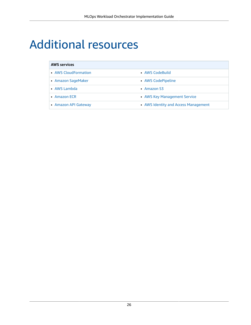## <span id="page-28-0"></span>Additional resources

### **AWS services** • AWS [CloudFormation](http://aws.amazon.com/cloudformation/) **• AWS [CodeBuild](http://aws.amazon.com/eventbridge/)** • Amazon [SageMaker](http://aws.amazon.com/sagemaker/) • AWS [CodePipeline](http://aws.amazon.com/lambda/) • AWS [Lambda](http://aws.amazon.com/lambda/) • [Amazon](http://aws.amazon.com/athena/) S3 • [Amazon](http://aws.amazon.com/step-functions/) ECR • AWS Key [Management](http://aws.amazon.com/kms/) Service • Amazon API [Gateway](http://aws.amazon.com/batch/) **• AWS Identity and Access [Management](http://aws.amazon.com/vpc/)**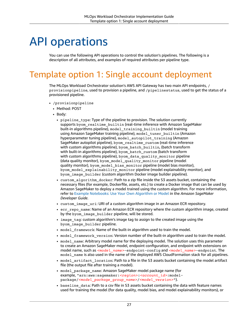## <span id="page-29-0"></span>API operations

You can use the following API operations to control the solution's pipelines. The following is a description of all attributes, and examples of required attributes per pipeline type.

## <span id="page-29-1"></span>Template option 1: Single account deployment

The MLOps Workload Orchestrator solution's AWS API Gateway has two main API endpoints, / provisionpipeline, used to provision a pipeline, and /pipelinestatus, used to get the status of a provisioned pipeline.

- /provisionpipeline
	- Method: POST
	- Body:
		- pipeline\_type: Type of the pipeline to provision. The solution currently supports byom realtime builtin (real-time inference with Amazon SageMaker built-in algorithms pipeline), model\_training\_builtin (model training using Amazon SageMaker training pipeline), model\_tuner\_builtin (Amazon hyperparameter tuning pipeline), model autopilot training (Amazon SageMaker autopilot pipeline), byom\_realtime\_custom (real-time inference with custom algorithms pipeline), byom\_batch\_builtin, (batch transform with built-in algorithms pipeline), byom batch custom (batch transform with custom algorithms pipeline), byom\_data\_quality\_monitor pipeline (data quality monitor), byom\_model\_quality\_monitor pipeline (model quality monitor), byom\_model\_bias\_monitor pipeline (model bias monitor), byom\_model\_explainability\_monitor pipeline (model explainability monitor), and byom image builder (custom algorithm Docker image builder pipeline).
		- custom algorithm docker: Path to a zip file inside the S3 assets bucket, containing the necessary files (for example, Dockerfile, assets, etc.) to create a Docker image that can be used by Amazon SageMaker to deploy a model trained using the custom algorithm. For more information, refer to Example [Notebooks:](https://docs.aws.amazon.com/sagemaker/latest/dg/docker-containers-notebooks.html) Use Your Own Algorithm or Model in the *Amazon SageMaker Developer Guide*.
		- custom\_image\_uri: URI of a custom algorithm image in an Amazon ECR repository.
		- ecr\_repo\_name: Name of an Amazon ECR repository where the custom algorithm image, created by the byom\_image\_builder pipeline, will be stored.
		- image tag: custom algorithm's image tag to assign to the created image using the byom\_image\_builder pipeline.
		- model\_framework: Name of the built-in algorithm used to train the model.
		- model\_framework\_version: Version number of the built-in algorithm used to train the model.
		- model\_name: Arbitrary model name for the deploying model. The solution uses this parameter to create an Amazon SageMaker model, endpoint configuration, and endpoint with extensions on model name, such as *<model\_name>*-endpoint-config and *<model\_name>*-endpoint. The model name is also used in the name of the deployed AWS CloudFormation stack for all pipelines.
		- model\_artifact\_location: Path to a file in the S3 assets bucket containing the model artifact file (the output file after training a model).
		- model\_package\_name: Amazon SageMaker model package name (for example, "arn:aws:sagemaker:*<region>*:*<account\_id>*:modelpackage/*<model\_package\_group\_name>*/*<model\_version>*").
		- baseline data: Path to a csv file in S3 assets bucket containing the data with feature names used for training the model (for data quality, model bias, and model explainability monitors), or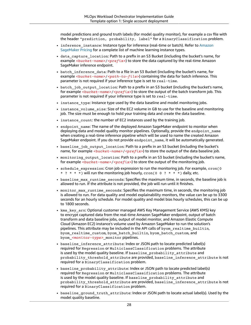model predictions and ground truth labels (for model quality monitor), for example a csv file with the header "prediction, probability, label" for a BinaryClassification problem.

- inference\_instance: Instance type for inference (real-time or batch). Refer to [Amazon](https://aws.amazon.com/sagemaker/pricing/) [SageMaker](https://aws.amazon.com/sagemaker/pricing/) Pricing for a complete list of machine learning instance types.
- data capture location: Path to a prefix in an S3 Bucket (including the bucket's name, for example *<bucket-name>/<prefix>*) to store the data captured by the real-time Amazon SageMaker inference endpoint.
- batch\_inference\_data: Path to a file in an S3 Bucket (including the bucket's name, for example <br /> *<br />
<br />
/>
/>*  $\frac{1}{2}$  *containing the data for batch inference. This* parameter is not required if your inference type is set to real-time.
- batch\_job\_output\_location: Path to a prefix in an S3 bucket (including the bucket's name, for example *<bucket-name>/<prefix>*) to store the output of the batch transform job. This parameter is not required if your inference type is set to real-time.
- instance type: Instance type used by the data baseline and model monitoring jobs.
- instance volume size: Size of the EC2 volume in GB to use for the baseline and monitoring job. The size must be enough to hold your training data and create the data baseline.
- instance\_count: the number of EC2 instances used by the training job.
- endpoint\_name: The name of the deployed Amazon SageMaker endpoint to monitor when deploying data and model quality monitor pipelines. Optionally, provide the endpoint name when creating a real-time inference pipeline which will be used to name the created Amazon SageMaker endpoint. If you do not provide endpoint\_name, it will be automatically generated.
- baseline\_job\_output\_location: Path to a prefix in an S3 bucket (including the bucket's name, for example *<bucket-name>/<prefix>*) to store the output of the data baseline job.
- monitoring\_output\_location: Path to a prefix in an S3 bucket (including the bucket's name, for example *<br/>bucket-name>/<prefix>*) to store the output of the monitoring job.
- schedule\_expression: Cron job expression to run the monitoring job. For example, cron(0  $*$  ?  $*$   $*$   $*$ ) will run the monitoring job hourly,  $\text{cron}(0 \ 0 \ ? \ * \ * \ * )$  daily, etc.
- baseline max runtime seconds: Specifies the maximum time, in seconds, the baseline job is allowed to run. If the attribute is not provided, the job will run until it finishes.
- monitor\_max\_runtime\_seconds: Specifies the maximum time, in seconds, the monitoring job is allowed to run. For data quality and model explainability monitors, the value can be up to 3300 seconds for an hourly schedule. For model quality and model bias hourly schedules, this can be up to 1800 seconds.
- kms\_key\_arn: Optional customer managed AWS Key Management Service (AWS KMS) key to encrypt captured data from the real-time Amazon SageMaker endpoint, output of batch transform and data baseline jobs, output of model monitor, and Amazon Elastic Compute Cloud (Amazon EC2) instance's volume used by Amazon SageMaker to run the solution's pipelines. This attribute may be included in the API calls of byom\_realtime\_builtin, byom realtime custom, byom batch builtin, byom batch custom, and byom\_*<monitor-type>*\_monitor pipelines.
- baseline\_inference\_attribute: Index or JSON path to locate predicted label(s) required for Regression or MulticlassClassification problems. The attribute is used by the model quality baseline. If baseline\_probability\_attribute and probability\_threshold\_attribute are provided, baseline\_inference\_attribute is not required for a BinaryClassification problem.
- baseline\_probability\_attribute: Index or JSON path to locate predicted label(s) required for Regression or MulticlassClassification problems. The attribute is used by the model quality baseline. If baseline\_probability\_attribute and probability\_threshold\_attribute are provided, baseline\_inference\_attribute is not required for a BinaryClassification problem.
- baseline\_ground\_truth\_attribute: Index or JSON path to locate actual label(s). Used by the model quality baseline.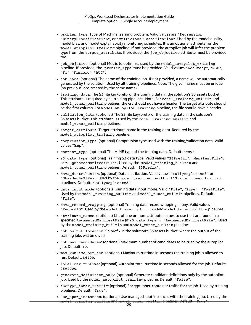- problem type: Type of Machine learning problem. Valid values are "Regression", "BinaryClassification", or "MulticlassClassification". Used by the model quality, model bias, and model explainability monitoring schedules. It is an optional attribute for the model\_autopilot\_training pipeline. If not provided, the autopilot job will infer the problem type from the target attribute. If provided, the job objective attribute must be provided too.
- job\_objetive: (optional) Metric to optimize, used by the model\_autopilot\_training pipeline. If provided, the problem\_type must be provided. Valid values "Accuracy", "MSE", "F1", "F1macro", "AUC".
- job\_name: (optional) The name of the training job. If not provided, a name will be automatically generated by the solution. Used by all training pipelines. Note: The given name must be unique (no previous jobs created by the same name).
- training\_data: The S3 file key/prefix of the training data in the solution's S3 assets bucket. This attribute is required by all training pipelines. Note: For model\_training\_builtin and model\_tuner\_builtin pipelines, the csv should not have a header. The target attribute should be the first column. For model\_autopilot\_training pipeline, the file should have a header.
- validation\_data: (optional) The S3 file key/prefix of the training data in the solution's S3 assets bucket. This attribute is used by the model training builtin and model\_tuner\_builtin pipelines.
- target attribute: Target attribute name in the training data. Required by the model\_autopilot\_training pipeline.
- compression type: (optional) Compression type used with the training/validation data. Valid values "Gzip".
- content\_type: (optional) The MIME type of the training data. Default: "csv".
- s3 data type: (optional) Training S3 data type. Valid values "S3Prefix", "ManifestFile", or "AugmentedManifestFile". Used by the model\_training\_builtin and model\_tuner\_builtin pipelines. Default: "S3Prefix".
- data\_distribution: (optional) Data distribution. Valid values "FullyReplicated" or "ShardedByS3Key". Used by the model\_training\_builtin and model\_tuner\_builtin pipelines. Default: "FullyReplicated".
- data\_input\_mode: (optional) Training data input mode. Valid "File", "Pipe", "FastFile". Used by the model\_training\_builtin and model\_tuner\_builtin pipelines. Default: "File".
- data record wrapping: (optional) Training data record wrapping, if any. Valid values "RecordIO". Used by the model\_training\_builtin and model\_tuner\_builtin pipelines.
- attribute names: (optional) List of one or more attribute names to use that are found in a specified AugmentedManifestFile (if s3\_data\_type = "AugmentedManifestFile"). Used by the model\_training\_builtin and model\_tuner\_builtin pipelines.
- job\_output\_location: S3 prefix in the solution's S3 assets bucket, where the output of the training jobs will be saved.
- job max candidates: (optional) Maximum number of candidates to be tried by the autopilot job. Default: 10.
- max\_runtime\_per\_job: (optional) Maximum runtime in seconds the training job is allowed to run. Default: 86400.
- total\_max\_runtime: (optional) Autopilot total runtime in seconds allowed for the job. Default: 2592000.
- generate\_definition\_only: (optional) Generate candidate definitions only by the autopilot job. Used by the model\_autopilot\_training pipeline. Default: "False".
- encrypt inner traffic: (optional) Encrypt inner-container traffic for the job. Used by training pipelines. Default: "True".
- use\_spot\_instances: (optional) Use managed spot instances with the training job. Used by the model\_training\_builtin and model\_tuner\_builtin pipelines. Default: "True". 29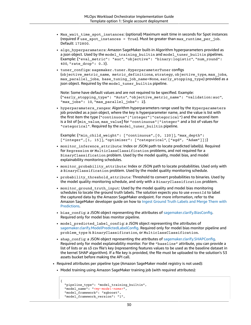- Max wait time spot instances: (optional) Maximum wait time in seconds for Spot instances (required if use spot instances = True). Must be greater than max runtime per job. Default: 172800.
- algo hyperparamaters: Amazon SageMaker built-in Algorithm hyperparameters provided as a json object. Used by the model\_training\_builtin and model\_tuner\_builtin pipelines. Example: {"eval\_metric": "auc", "objective": "binary:logistic", "num\_round": 400, "rate\_drop": 0.3}.
- tuner\_configs: sagemaker.tuner.HyperparameterTuner configs (objective\_metric\_name, metric\_definitions, strategy, objective\_type, max\_jobs, max\_parallel\_jobs, base\_tuning\_job\_name=None, early\_stopping\_type) provided as a json object. Required by the model\_tuner\_builtin pipeline.

Note: Some have default values and are not required to be specified. Example: {"early\_stopping\_type": "Auto", "objective\_metric\_name": "validation:auc", "max\_jobs": 10, "max\_parallel\_jobs": 2}.

• hyperparamaters\_ranges: Algorithm hyperparameters range used by the Hyperparameters job provided as a json object, where the key is hyperparameter name, and the value is list with the first item the type ("continuous"|"integer"|"categorical") and the second item is a list of [min\_value, max\_value] for "continuous" | "integer" and a list of values for "categorical". Required by the model\_tuner\_builtin pipeline.

Example: {"min\_child\_weight": ["continuous",[0, 120]], "max\_depth": ["integer", [1, 15]], "optimizer": ["categorical", ["sgd", "Adam"]])}

- monitor inference attribute: Index or JSON path to locate predicted label(s). Required for Regression or MulticlassClassification problems, and not required for a BinaryClassification problem. Used by the model quality, model bias, and model explainability monitoring schedules.
- monitor\_probability\_attribute: Index or JSON path to locate probabilities. Used only with a BinaryClassification problem. Used by the model quality monitoring schedule.
- probability threshold attribute: Threshold to convert probabilities to binaries. Used by the model quality monitoring schedule, and only with a BinaryClassification problem.
- monitor ground truth input: Used by the model quality and model bias monitoring schedules to locate the ground truth labels. The solution expects you to use eventId to label the captured data by the Amazon SageMaker endpoint. For more information, refer to the Amazon SageMaker developer guide on how to Ingest [Ground](https://docs.aws.amazon.com/sagemaker/latest/dg/model-monitor-model-quality-merge.html) Truth Labels and Merge Them with [Predictions](https://docs.aws.amazon.com/sagemaker/latest/dg/model-monitor-model-quality-merge.html).
- bias config: a JSON object representing the attributes of [sagemaker.clarify.BiasConfig](https://sagemaker.readthedocs.io/en/stable/api/training/processing.html#sagemaker.clarify.BiasConfig). Required only for model bias monitor pipeline.
- model\_predicted\_label\_config: a JSON object representing the attributes of [sagemaker.clarify.ModelPredictedLabelConfig.](https://sagemaker.readthedocs.io/en/stable/api/training/processing.html#sagemaker.clarify.ModelPredictedLabelConfig) Required only for model bias monitor pipeline and problem\_type is BinaryClassification, or MulticlassClassification.
- shap\_config: a JSON object representing the attributes of [sagemaker.clarify.SHAPConfig.](https://sagemaker.readthedocs.io/en/stable/api/training/processing.html#sagemaker.clarify.SHAPConfig) Required only for model explainability monitor. For the "baseline" attribute, you can provide a list of lists or as s3 csv file's key (representing features values to be used as the baseline dataset in the kernel SHAP algorithm). If a file key is provided, the file must be uploaded to the solution's S3 assets bucket before making the API call.
- Required attributes per pipeline type (Amazon SageMaker model registry is not used):
	- Model training using Amazon SageMaker training job (with required attributes):

```
{
   "pipeline_type": "model_training_builtin",
   "model_name": "<my-model-name>",
   "model_framework": "xgboost",
  "model framework version": "1",
```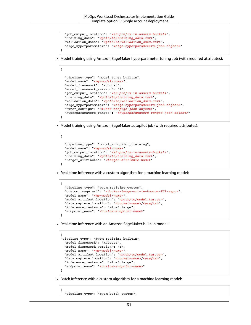```
 "job_output_location": "<s3-prefix-in-assets-bucket>",
   "training_data": "<path/to/training_data.csv>",
   "validation_data": "<path/to/validation_data.csv>",
   "algo_hyperparamaters": "<algo-hyperparameters-json-object>"
}
```
• Model training using Amazon SageMaker hyperparameter tuning Job (with required attributes):

```
{
   "pipeline_type": "model_tuner_builtin",
   "model_name": "<my-model-name>",
  "model_framework": "xgboost",
   "model_framework_version": "1",
    "job_output_location": "<s3-prefix-in-assets-bucket>",
    "training_data": "<path/to/training_data.csv>",
    "validation_data": "<path/to/validation_data.csv>",
    "algo_hyperparamaters": "<algo-hyperparameters-json-object>",
    "tuner_configs": "<tuner-configs-json-object>",
    "hyperparamaters_ranges": "<hyperparamaters-ranges-json-object>"
}
```
• Model training using Amazon SageMaker autopilot job (with required attributes):

```
 "pipeline_type": "model_autopilot_training",
    "model_name": "<my-model-name>",
   "job_output_location": "<s3-prefix-in-assets-bucket>",
   "training_data": "<path/to/training_data.csv>",
    "target_attribute": "<target-attribute-name>"
}
```
{

{

• Real-time inference with a custom algorithm for a machine learning model:

```
{
   "pipeline_type": "byom_realtime_custom",
   "custom_image_uri": "<docker-image-uri-in-Amazon-ECR-repo>",
   "model_name": "<my-model-name>",
   "model_artifact_location": "<path/to/model.tar.gz>",
   "data_capture_location": "<bucket-name>/<prefix>",
   "inference_instance": "ml.m5.large",
   "endpoint_name": "<custom-endpoint-name>"
}
```
• Real-time inference with an Amazon SageMaker built-in model:

```
{
"pipeline_type": "byom_realtime_builtin",
   "model_framework": "xgboost",
   "model_framework_version": "1",
   "model_name": "<my-model-name>",
  "model_artifact_location": "<path/to/model.tar.gz>", 
  "data_capture_location": "<bucket-name>/<prefix>",
   "inference_instance": "ml.m5.large",
   "endpoint_name": "<custom-endpoint-name>"
}
```
• Batch inference with a custom algorithm for a machine learning model:

```
 "pipeline_type": "byom_batch_custom",
```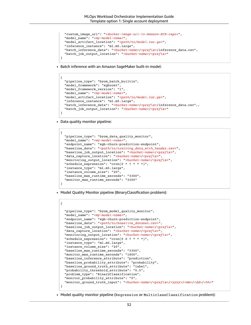```
 "custom_image_uri": "<docker-image-uri-in-Amazon-ECR-repo>",
   "model_name": "<my-model-name>",
   "model_artifact_location": "<path/to/model.tar.gz>",
   "inference_instance": "ml.m5.large",
   "batch_inference_data": "<bucket-name>/<prefix>/inference_data.csv",
   "batch_job_output_location": "<bucket-name>/<prefix>"
}
```
• Batch inference with an Amazon SageMaker built-in model:

```
{
   "pipeline_type": "byom_batch_builtin",
   "model_framework": "xgboost",
   "model_framework_version": "1",
   "model_name": "<my-model-name>",
   "model_artifact_location": "<path/to/model.tar.gz>",
   "inference_instance": "ml.m5.large",
   "batch_inference_data": "<bucket-name>/<prefix>/inference_data.csv",,
   "batch_job_output_location": "<bucket-name>/<prefix>"
}
```
• Data quality monitor pipeline:

```
{
  "pipeline type": "byom data quality monitor",
   "model_name": "<my-model-name>", 
   "endpoint_name": "xgb-churn-prediction-endpoint",
   "baseline_data": "<path/to/training_data_with_header.csv>",
   "baseline_job_output_location": "<bucket-name>/<prefix>",
   "data_capture_location": "<bucket-name>/<prefix>",
   "monitoring_output_location": "<bucket-name>/<prefix>",
   "schedule_expression": "cron(0 * ? * * *)",
  "instance_type": "ml.m5.large",
  "instance_volume_size": "20",
  "baseline_max_runtime_seconds": "3300",
   "monitor_max_runtime_seconds": "3300"
}
```
• Model Quality Monitor pipeline (BinaryClassification problem):

```
{
  "pipeline type": "byom model quality monitor",
   "model_name": "<my-model-name>",
   "endpoint_name": "xgb-churn-prediction-endpoint",
   "baseline_data": "<path/to/baseline_dataset.csv>",
   "baseline_job_output_location": "<bucket-name>/<prefix>",
   "data_capture_location": "<bucket-name>/<prefix>",
   "monitoring_output_location": "<bucket-name>/<prefix>",
   "schedule_expression": "cron(0 0 ? * * *)",
   "instance_type": "ml.m5.large",
   "instance_volume_size": "20",
   "baseline_max_runtime_seconds": "3300",
   "monitor_max_runtime_seconds": "1800",
   "baseline_inference_attribute": "prediction",
   "baseline_probability_attribute": "probability",
   "baseline_ground_truth_attribute": "label",
   "probability_threshold_attribute": "0.5",
   "problem_type": "BinaryClassification",
  "monitor_probability_attribute": "0",
   "monitor_ground_truth_input": "<bucket-name>/<prefix>/<yyyy>/<mm>/<dd>/<hh>"
}
```
• Model quality monitor pipeline (Regression or MulticlassClassification problem):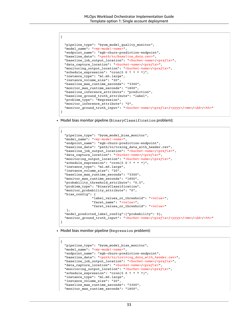```
{
   "pipeline_type": "byom_model_quality_monitor",
   "model_name": "<my-model-name>",
   "endpoint_name": "xgb-churn-prediction-endpoint",
   "baseline_data": "<path/to/baseline_data.csv>",
   "baseline_job_output_location": "<bucket-name>/<prefix>",
   "data_capture_location": "<bucket-name>/<prefix>",
   "monitoring_output_location": "<bucket-name>/<prefix>",
   "schedule_expression": "cron(0 0 ? * * *)",
   "instance_type": "ml.m5.large",
   "instance_volume_size": "20",
   "baseline_max_runtime_seconds": "3300",
  "monitor max runtime seconds": "1800",
   "baseline_inference_attribute": "prediction",
   "baseline_ground_truth_attribute": "label",
   "problem_type": "Regression",
   "monitor_inference_attribute": "0",
   "monitor_ground_truth_input": "<bucket-name>/<prefix>/<yyyy>/<mm>/<dd>/<hh>"
}
```
• Model bias monitor pipeline (BinaryClassification problem):

```
{
   "pipeline_type": "byom_model_bias_monitor",
   "model_name": "<my-model-name>",
   "endpoint_name": "xgb-churn-prediction-endpoint",
   "baseline_data": "path/to/traing_data_with_header.csv",
   "baseline_job_output_location": "<bucket-name>/<prefix>",
   "data_capture_location": "<bucket-name>/<prefix>",
   "monitoring_output_location": "<bucket-name>/<prefix>",
  "schedule expression": "cron(0 0 ? * * *)",
   "instance_type": "ml.m5.large",
   "instance_volume_size": "20",
   "baseline_max_runtime_seconds": "3300",
   "monitor_max_runtime_seconds": "1800",
   "probability_threshold_attribute": "0.5",
   "problem_type": "BinaryClassification",
  "monitor probability attribute": "0",
   "bias_config": {
                 "label_values_or_threshold": "<value>",
                 "facet_name": "<value>",
                 "facet_values_or_threshold": "<value>"
   },
   "model_predicted_label_config":{"probability": 0},
   "monitor_ground_truth_input": "<bucket-name>/<prefix>/<yyyy>/<mm>/<dd>/<hh>"
}
```
• Model bias monitor pipeline (Regression problem):

{

```
 "pipeline_type": "byom_model_bias_monitor",
 "model_name": "<my-model-name>",
 "endpoint_name": "xgb-churn-prediction-endpoint",
 "baseline_data": "<path/to/training_data_with_header.csv>",
 "baseline_job_output_location": "<bucket-name>/<prefix>",
 "data_capture_location": "<bucket-name>/<prefix>",
 "monitoring_output_location": "<bucket-name>/<prefix>",
 "schedule_expression": "cron(0 0 ? * * *)",
 "instance_type": "ml.m5.large",
 "instance_volume_size": "20",
 "baseline_max_runtime_seconds": "3300",
 "monitor_max_runtime_seconds": "1800",
```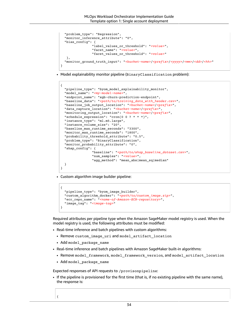```
 "problem_type": "Regression",
  "monitor inference attribute": "0",
   "bias_config": {
                  "label_values_or_threshold": "<value>",
                  "facet_name": "<value>",
                  "facet_values_or_threshold": "<value>"
    },
   "monitor_ground_truth_input": "<bucket-name>/<prefix>/<yyyy>/<mm>/<dd>/<hh>"
}
```
• Model explainability monitor pipeline (BinaryClassification problem):

```
{
  "pipeline type": "byom model explainability monitor",
   "model_name": "<my-model-name>",
   "endpoint_name": "xgb-churn-prediction-endpoint",
   "baseline_data": "<path/to/training_data_with_header.csv>",
   "baseline_job_output_location": "<bucket-name>/<prefix>",
   "data_capture_location": "<bucket-name>/<prefix>",
   "monitoring_output_location": "<bucket-name>/<prefix>",
   "schedule_expression": "cron(0 0 ? * * *)",
   "instance_type": "ml.m5.large",
   "instance_volume_size": "20",
  "baseline_max_runtime_seconds": "3300",
  "monitor_max_runtime_seconds": "1800",
   "probability_threshold_attribute": "0.5",
   "problem_type": "BinaryClassification",
   "monitor_probability_attribute": "0",
   "shap_config": {
                 "baseline": "<path/to/shap_baseline_dataset.csv>", 
                 "num_samples": "<value>", 
                 "agg_method": "mean_abs|mean_sq|median"
   }
}
```
• Custom algorithm image builder pipeline:

```
{
   "pipeline_type": "byom_image_builder",
   "custom_algorithm_docker": "<path/to/custom_image.zip>",
   "ecr_repo_name": "<name-of-Amazon-ECR-repository>",
   "image_tag": "<image-tag>"
}
```
Required attributes per pipeline type when the Amazon SageMaker model registry is used. When the model registry is used, the following attributes must be modified:

- Real-time inference and batch pipelines with custom algorithms:
	- Remove custom image uri and model artifact location
	- Add model package name
- Real-time inference and batch pipelines with Amazon SageMaker built-in algorithms:
	- Remove model\_framework, model\_framework\_version, and model\_artifact\_location
	- Add model\_package\_name

Expected responses of API requests to /provisonpipeline:

• If the pipeline is provisioned for the first time (that is, if no existing pipeline with the same name), the response is: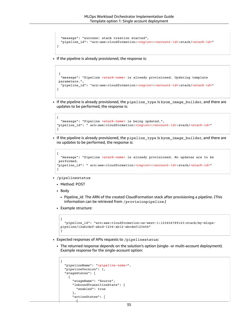```
 "message": "success: stack creation started", 
  "pipeline_id": "arn:aws:cloudformation:<region>:<account-id>:stack/<stack-id>"
}
```
• If the pipeline is already provisioned, the response is:

```
 {
  "message": "Pipeline <stack-name> is already provisioned. Updating template
 parameters.", 
   "pipeline_id": "arn:aws:cloudformation:<region>:<account-id>:stack/<stack-id>"
}
```
• If the pipeline is already provisioned, the pipeline\_type is byom\_image\_builder, and there are updates to be performed, the response is:

```
{
  "message": "Pipeline <stack-name> is being updated.", 
"pipeline_id": " arn:aws:cloudformation:<region>:<account-id>:stack/<stack-id>"
}
```
• If the pipeline is already provisioned, the pipeline\_type is byom\_image\_builder, and there are no updates to be performed, the response is:

```
{
  "message": "Pipeline <stack-name> is already provisioned. No updates are to be
 performed.
"pipeline_id": " arn:aws:cloudformation:<region>:<account-id>:stack/<stack-id>"
}
```
- /pipelinestatus
	- Method: POST
	- Body
		- Pipeline\_id: The ARN of the created CloudFormation stack after provisioning a pipeline. (This information can be retrieved from /provisionpipeline.)
	- Example structure:

 $\overline{\phantom{a}}$ 

```
{
   "pipeline_id": "arn:aws:cloudformation:us-west-1:123456789123:stack/my-mlops-
pipeline/12abcdef-abcd-1234-ab12-abcdef123456"
}
```
- Expected responses of APIs requests to /pipelinestatus:
	- The returned response depends on the solution's option (single- or multi-account deployment). Example response for the single-account option:

```
{
   "pipelineName": "<pipeline-name>",
   "pipelineVersion": 1,
   "stageStates": [
     {
       "stageName": "Source",
       "inboundTransitionState": {
         "enabled": true
       },
       "actionStates": [
```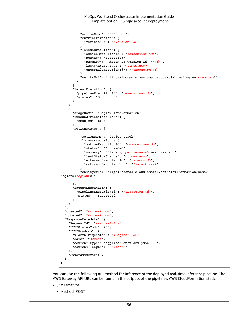```
 "actionName": "S3Source",
           "currentRevision": {
             "revisionId": "<version-id>"
           },
           "latestExecution": {
             "actionExecutionId": "<execution-id>",
             "status": "Succeeded",
             "summary": "Amazon S3 version id: "<id>",
             "lastStatusChange": "<timestamp>",
             "externalExecutionId": "<execution-id>"
           },
           "entityUrl": "https://console.aws.amazon.com/s3/home?region=<region>#"
         }
       ],
       "latestExecution": {
         "pipelineExecutionId": "<execution-id>",
         "status": "Succeeded"
       }
     },
     {
       "stageName": "DeployCloudFormation",
       "inboundTransitionState": {
         "enabled": true
       },
       "actionStates": [
         {
           "actionName": "deploy_stack",
           "latestExecution": {
             "actionExecutionId": "<execution-id>",
             "status": "Succeeded",
             "summary": "Stack <pipeline-name> was created.",
             "lastStatusChange": "<timestamp>",
             "externalExecutionId": "<stack-id>",
             "externalExecutionUrl": ""<stack-url>"
           },
           "entityUrl": "https://console.aws.amazon.com/cloudformation/home?
region=<region>#/"
         }
       ],
       "latestExecution": {
         "pipelineExecutionId": "<execution-id>",
         "status": "Succeeded"
       }
     }
   ],
   "created": "<timestamp>",
   "updated": "<timestamp>",
   "ResponseMetadata": {
     "RequestId": "<request-id>",
     "HTTPStatusCode": 200,
     "HTTPHeaders": {
       "x-amzn-requestid": "<request-id>",
       "date": "<date>",
       "content-type": "application/x-amz-json-1.1",
       "content-length": "<number>"
     },
     "RetryAttempts": 0
   }
}
```
You can use the following API method for inference of the deployed real-time inference pipeline. The AWS Gateway API URL can be found in the outputs of the pipeline's AWS CloudFormation stack.

- /inference
	- Method: POST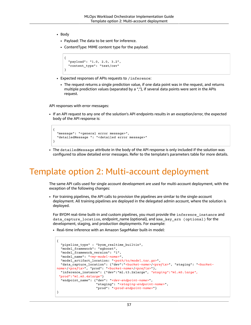- Body
	- Payload: The data to be sent for inference.
	- ContentType: MIME content type for the payload.

```
{
   "payload": "1.0, 2.0, 3.2",
   "content_type": "text/csv"
}
```
- Expected responses of APIs requests to /inference:
	- The request returns a single prediction value, if one data point was in the request, and returns multiple prediction values (separated by a ","), if several data points were sent in the APIs request.

API responses with error messages:

• If an API request to any one of the solution's API endpoints results in an exception/error, the expected body of the API response is:

```
{
   "message": "<general error message>",
   "detailedMessage ": "<detailed error message>"
}
```
• The detailedMessage attribute in the body of the API response is only included if the solution was configured to allow detailed error messages. Refer to the template's parameters table for more details.

## <span id="page-39-0"></span>Template option 2: Multi-account deployment

The same API calls used for single account development are used for multi-account deployment, with the exception of the following changes:

• For training pipelines, the API calls to provision the pipelines are similar to the single-account deployment. All training pipelines are deployed in the delegated admin account, where the solution is deployed.

For BYOM real-time built-in and custom pipelines, you must provide the inference\_instance and data\_capture\_location, endpoint\_name (optional), and kms\_key\_arn (optional) for the development, staging, and production deployments. For example:

• Real-time inference with an Amazon SageMaker built-in model:

```
{
  "pipeline type" : "byom realtime builtin",
   "model_framework": "xgboost",
  "model_framework_version": "1",
  "model_name": "<my-model-name>",
  "model_artifact_location: "<path/to/model.tar.gz>",
  "data_capture_location": {"dev":"<bucket-name>/<prefix>", "staging": "<bucket-
name>/<prefix>", "prod": "<bucket-name>/<prefix>"},
  "inference_instance": {"dev":"ml.t3.2xlarge", "staging":"ml.m5.large",
  "prod":"ml.m5.4xlarge"}
  "endpoint_name": {"dev": "<dev-endpoint-name>", 
                     "staging": "<staging-endpoint-name>",
                     "prod": "<prod-endpoint-name>"} 
}
```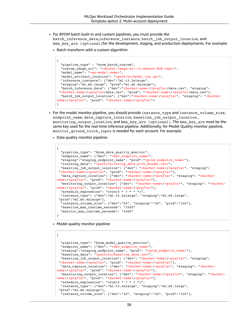• For BYOM batch built-in and custom pipelines, you must provide the

batch inference data,inference instance, batch job output location, and

kms\_key\_arn (optional)for the development, staging, and production deployments. For example:

• Batch transform with a custom algorithm:

```
{
   "pipeline_type" : "byom_batch_custom",
  "custom_image_uri": "<docker-image-uri-in-Amazon-ECR-repo>",
  "model_name": "<my-model-name>",
  "model_artifact_location": "<path/to/model.tar.gz>",
  "inference_instance": {"dev":"ml.t3.2xlarge",
 "staging":"ml.m5.large", "prod":"ml.m5.4xlarge"},
 "batch_inference_data": {"dev":"<bucket-name>/<prefix>/data.csv", "staging":
 "<bucket-name>/<prefix>/data.csv", "prod": "<bucket-name>/<prefix>/data.csv"},
 "batch_job_output_location": {"dev":"<br/>bucket-name>/<prefix>", "staging": "<br/>bucket-
name>/<prefix>", "prod": "<bucket-name>/<prefix>"}
}
```
- For the model monitor pipeline, you should provide instance\_type and instance\_volume\_size, endpoint\_name, date\_capture\_location, baseline\_job\_output\_location , monitoring\_output\_location, and kms\_key\_arn (optional). The kms\_key\_arn must be the same key used for the real-time inference pipeline. Additionally, for Model Quality monitor pipeline, monitor ground truth input is needed for each account. For example:
	- Data quality monitor pipeline:

```
{
  "pipeline_type": "byom_data_quality_monitor",
  "endpoint_name": {"dev": "<dev_endpoint_name>",
   "staging":"staging_endpoint_name", "prod":"<prod_endpoint_name>"},
  "training_data": "<path/to/traing_data_with_header.csv>",
 "baseline_job_output_location": {"dev": "<bucket-name>/<prefix>", "staging":
 "<bucket-name>/<prefix>", "prod": "<bucket-name>/<prefix>"},
  "data_capture_location": {"dev": "<bucket-name>/<prefix>", "staging": "<bucket-
name>/<prefix>", "prod": "<bucket-name>/<prefix>"},
  "monitoring_output_location": {"dev": "<bucket-name>/<prefix>", "staging": "<bucket-
name>/<prefix>", "prod": "<bucket-name>/<prefix>"},
  "schedule_expression": "cron(0 * ? * * *)",
  "instance_type": {"dev":"ml.t3.2xlarge", "staging":"ml.m5.large",
 "prod":"ml.m5.4xlarge"}, 
   "instance_volume_size": {"dev":"20", "staging":"20", "prod":"100"},
  "baseline_max_runtime_seconds": "3300"
 "monitor max runtime seconds": "3300"
}
```
• Model quality monitor pipeline:

```
{
 "pipeline type": "byom model quality monitor",
   "endpoint_name": {"dev": "<dev_endpoint_name>",
  "staging":"staging_endpoint_name", "prod": "<prod_endpoint_name>"},
  "baseline_data": "<path/to/baseline_data.csv>",
 "baseline_job_output_location": {"dev": "<br/>bucket-name>/<prefix>", "staging":
  "<bucket-name>/<prefix>", "prod": "<bucket-name>/<prefix>"},
  "data_capture_location": {"dev": "<bucket-name>/<prefix>", "staging": "<bucket-
name>/<prefix>", "prod": "<bucket-name>/<prefix>"},
 "monitoring_output_location": {"dev": "<br/>bucket-name>/<prefix>", "staging": "<br/>bucket-
name>/<prefix>", "prod": "<bucket-name>/<prefix>"},
  "schedule_expression": "cron(0 * ? * * *)",
  "instance_type": {"dev":"ml.t3.2xlarge", "staging":"ml.m5.large",
 "prod":"ml.m5.4xlarge"},
  "instance_volume_size": {"dev":"20", "staging":"20", "prod":"100"},
```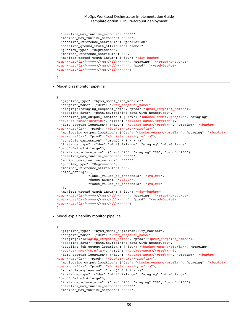```
 "baseline_max_runtime_seconds": "3300",
 "monitor max runtime seconds": "3300",
  "baseline_inference_attribute": "prediction",
  "baseline_ground_truth_attribute": "label",
  "problem_type": "Regression",
   "monitor_inference_attribute": "0",
  "monitor_ground_truth_input": {"dev": "<dev-bucket-
name>/<prefix>/<yyyy>/<mm>/<dd>/<hh>", "staging": "<staging-bucket-
name>/<prefix>/<yyyy>/<mm>/<dd>/<hh>", "prod": "<prod-bucket-
name>/<prefix>/<yyyy>/<mm>/<dd>/<hh>"} 
}
```
• Model bias monitor pipeline:

```
{
   "pipeline_type": "byom_model_bias_monitor",
  "endpoint_name": {"dev": "<dev_endpoint_name>",
  "staging":"staging_endpoint_name", "prod":"<prod_endpoint_name>"},
  "baseline_data": "path/to/training_data_with_header.csv",
  "baseline_job_output_location": {"dev": "<bucket-name>/<prefix>", "staging":
 "<bucket-name>/<prefix>", "prod": "<bucket-name>/<prefix>"},
  "data_capture_location": {"dev": "<bucket-name>/<prefix>", "staging": "<bucket-
name>/<prefix>", "prod": "<bucket-name>/<prefix>"},
  "monitoring_output_location": {"dev": "<bucket-name>/<prefix>", "staging": "<bucket-
name>/<prefix>", "prod": "<bucket-name>/<prefix>"},
  "schedule_expression": "cron(0 * ? * * *)",
  "instance_type": {"dev":"ml.t3.2xlarge", "staging":"ml.m5.large",
 "prod":"ml.m5.4xlarge"},
  "instance_volume_size": {"dev":"20", "staging":"20", "prod":"100"},
  "baseline_max_runtime_seconds": "3300",
   "monitor_max_runtime_seconds": "3300",
   "problem_type": "Regression",
 "monitor inference attribute": "0",
  "bias_config": {
                 "label_values_or_threshold": "<value>",
                 "facet_name": "<value>",
                 "facet_values_or_threshold": "<value>"
   },
  "monitor_ground_truth_input": {"dev": "<dev-bucket-
name>/<prefix>/<yyyy>/<mm>/<dd>/<hh>", "staging": "<staging-bucket-
name>/<prefix>/<yyyy>/<mm>/<dd>/<hh>", "prod": "<prod-bucket-
name>/<prefix>/<yyyy>/<mm>/<dd>/<hh>"} 
}
```
• Model explainability monitor pipeline:

```
{
 "pipeline type": "byom model explainability monitor",
  "endpoint_name": {"dev": "<dev_endpoint_name>",
  "staging":"<staging_endpoint_name>", "prod":"<prod_endpoint_name>"},
 "baseline data": "path/to/training data with header.csv",
  "baseline_job_output_location": {"dev": "<bucket-name>/<prefix>", "staging":
 "<bucket-name>/<prefix>", "prod": "<bucket-name>/<prefix>"},
  "data_capture_location": {"dev": "<bucket-name>/<prefix>", "staging": "<bucket-
name>/<prefix>", "prod": "<bucket-name>/<prefix>"},
  "monitoring_output_location": {"dev": "<bucket-name>/<prefix>", "staging": "<bucket-
name>/<prefix>", "prod": "<bucket-name>/<prefix>"},
  "schedule_expression": "cron(0 * ? * * *)",
  "instance_type": {"dev":"ml.t3.2xlarge", "staging":"ml.m5.large",
 "prod":"ml.m5.4xlarge"},
   "instance_volume_size": {"dev":"20", "staging":"20", "prod":"100"},
  "baseline max runtime seconds": "3300",
 "monitor max runtime seconds": "3300",
```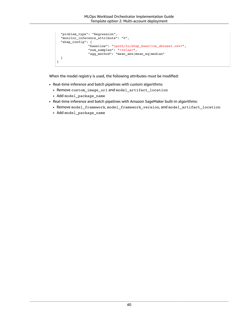```
 "problem_type": "Regression",
  "monitor_inference_attribute": "0",
  "shap_config": {
               "baseline": "<path/to/shap_baseline_dataset.csv>", 
 "num_samples": "<value>", 
 "agg_method": "mean_abs|mean_sq|median"
  }
}
```
When the model registry is used, the following attributes must be modified:

- Real-time inference and batch pipelines with custom algorithms:
	- Remove custom\_image\_uri and model\_artifact\_location
	- Add model\_package\_name
- Real-time inference and batch pipelines with Amazon SageMaker built-in algorithms:
- Remove model\_framework, model\_framework\_version, and model\_artifact\_location
- Add model\_package\_name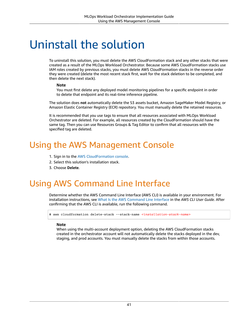## <span id="page-43-0"></span>Uninstall the solution

To uninstall this solution, you must delete the AWS CloudFormation stack and any other stacks that were created as a result of the MLOps Workload Orchestrator. Because some AWS CloudFormation stacks use IAM roles created by previous stacks, you must delete AWS CloudFormation stacks in the reverse order they were created (delete the most recent stack first, wait for the stack deletion to be completed, and then delete the next stack).

#### **Note**

You must first delete any deployed model monitoring pipelines for a specific endpoint in order to delete that endpoint and its real-time inference pipeline.

The solution does **not** automatically delete the S3 assets bucket, Amazon SageMaker Model Registry, or Amazon Elastic Container Registry (ECR) repository. You must manually delete the retained resources.

It is recommended that you use tags to ensure that all resources associated with MLOps Workload Orchestrator are deleted. For example, all resources created by the CloudFormation should have the same tag. Then you can use Resources Groups & Tag Editor to confirm that all resources with the specified tag are deleted.

## <span id="page-43-1"></span>Using the AWS Management Console

- 1. Sign in to the AWS [CloudFormation](https://console.aws.amazon.com/cloudformation/) console.
- 2. Select this solution's installation stack.
- 3. Choose **Delete**.

## <span id="page-43-2"></span>Using AWS Command Line Interface

Determine whether the AWS Command Line Interface (AWS CLI) is available in your environment. For installation instructions, see What Is the AWS [Command](https://docs.aws.amazon.com/cli/latest/userguide/cli-chap-welcome.html) Line Interface in the *AWS CLI User Guide*. After confirming that the AWS CLI is available, run the following command.

\$ aws cloudformation delete-stack --stack-name *<installation-stack-name>*

#### **Note**

When using the multi-account deployment option, deleting the AWS CloudFormation stacks created in the orchestrator account will not automatically delete the stacks deployed in the dev, staging, and prod accounts. You must manually delete the stacks from within those accounts.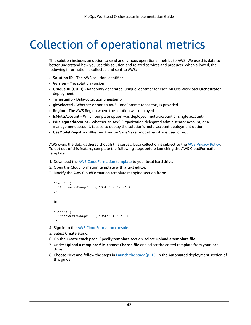## <span id="page-44-0"></span>Collection of operational metrics

This solution includes an option to send anonymous operational metrics to AWS. We use this data to better understand how you use this solution and related services and products. When allowed, the following information is collected and sent to AWS:

- **Solution ID** The AWS solution identifier
- **Version** The solution version
- **Unique ID (UUID)** Randomly generated, unique identifier for each MLOps Workload Orchestrator deployment
- **Timestamp** Data-collection timestamp
- **gitSelected** Whether or not an AWS CodeCommit repository is provided
- **Region** The AWS Region where the solution was deployed
- **IsMultiAccount** Which template option was deployed (multi-account or single account)
- **IsDelegatedAccount** Whether an AWS Organization delegated administrator account, or a management account, is used to deploy the solution's multi-account deployment option
- **UseModelRegistry** Whether Amazon SageMaker model registry is used or not

AWS owns the data gathered though this survey. Data collection is subject to the AWS [Privacy](http://aws.amazon.com/privacy/) Policy. To opt out of this feature, complete the following steps before launching the AWS CloudFormation template.

- 1. Download the AWS [CloudFormation](https://solutions-reference.s3.amazonaws.com/mlops-workload-orchestrator/latest/mlops-workload-orchestrator-single-account-framework.template) template to your local hard drive.
- 2. Open the CloudFormation template with a text editor.
- 3. Modify the AWS CloudFormation template mapping section from:

```
"Send": {
   "AnonymousUsage" : { "Data" : "Yes" }
},
```
to

```
"Send": {
   "AnonymousUsage" : { "Data" : "No" }
},
```
- 4. Sign in to the AWS [CloudFormation](https://console.aws.amazon.com/cloudformation/) console.
- 5. Select **Create stack**.
- 6. On the **Create stack** page, **Specify template** section, select **Upload a template file**.
- 7. Under **Upload a template file**, choose **Choose file** and select the edited template from your local drive.
- 8. Choose Next and follow the steps in Launch the stack  $(p. 15)$  in the Automated deployment section of this guide.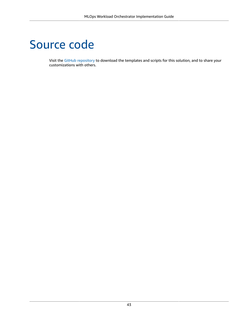## <span id="page-45-0"></span>Source code

Visit the GitHub [repository](https://github.com/aws-solutions/mlops-workload-orchestrator) to download the templates and scripts for this solution, and to share your customizations with others.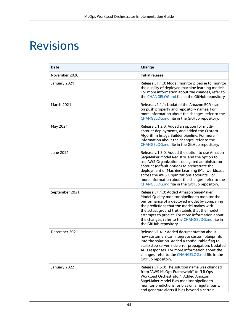## <span id="page-46-0"></span>Revisions

| <b>Date</b>       | Change                                                                                                                                                                                                                                                                                                                                                                                           |
|-------------------|--------------------------------------------------------------------------------------------------------------------------------------------------------------------------------------------------------------------------------------------------------------------------------------------------------------------------------------------------------------------------------------------------|
| November 2020     | Initial release                                                                                                                                                                                                                                                                                                                                                                                  |
| January 2021      | Release v1.1.0: Model monitor pipeline to monitor<br>the quality of deployed machine learning models.<br>For more information about the changes, refer to<br>the CHANGELOG.md file in the GitHub repository.                                                                                                                                                                                     |
| <b>March 2021</b> | Release v1.1.1: Updated the Amazon ECR scan<br>on push property and repository names. For<br>more information about the changes, refer to the<br>CHANGELOG.md file in the GitHub repository.                                                                                                                                                                                                     |
| May 2021          | Release v.1.2.0: Added an option for multi-<br>account deployments, and added the Custom<br>Algorithm Image Builder pipeline. For more<br>information about the changes, refer to the<br>CHANGELOG.md file in the GitHub repository.                                                                                                                                                             |
| June 2021         | Release v.1.3.0: Added the option to use Amazon<br>SageMaker Model Registry, and the option to<br>use AWS Organizations delegated administrator<br>account (default option) to orchestrate the<br>deployment of Machine Learning (ML) workloads<br>across the AWS Organizations accounts. For<br>more information about the changes, refer to the<br>CHANGELOG.md file in the GitHub repository. |
| September 2021    | Release v1.4.0: Added Amazon SageMaker<br>Model Quality monitor pipeline to monitor the<br>performance of a deployed model by comparing<br>the predictions that the model makes with<br>the actual ground truth labels that the model<br>attempts to predict. For more information about<br>the changes, refer to the CHANGELOG.md file in<br>the GitHub repository.                             |
| December 2021     | Release v1.4.1: Added documentation about<br>how customers can integrate custom blueprints<br>into the solution. Added a configurable flag to<br>start/stop server-side error propagation. Updated<br>APIs responses. For more information about the<br>changes, refer to the CHANGELOG.md file in the<br>GitHub repository.                                                                     |
| January 2022      | Release v1.5.0: The solution name was changed<br>from "AWS MLOps Framework" to "MLOps<br>Workload Orchestrator". Added Amazon<br>SageMaker Model Bias monitor pipeline to<br>monitor predictions for bias on a regular basis,<br>and generate alerts if bias beyond a certain                                                                                                                    |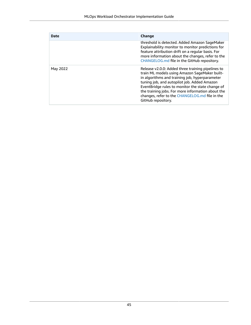| Date     | Change                                                                                                                                                                                                                                                                                                                                                                               |
|----------|--------------------------------------------------------------------------------------------------------------------------------------------------------------------------------------------------------------------------------------------------------------------------------------------------------------------------------------------------------------------------------------|
|          | threshold is detected. Added Amazon SageMaker<br>Explainability monitor to monitor predictions for<br>feature attribution drift on a regular basis. For<br>more information about the changes, refer to the<br>CHANGELOG.md file in the GitHub repository.                                                                                                                           |
| May 2022 | Release v2.0.0: Added three training pipelines to<br>train ML models using Amazon SageMaker built-<br>in algorithms and training job, hyperparameter<br>tuning job, and autopilot job. Added Amazon<br>EventBridge rules to monitor the state change of<br>the training jobs. For more information about the<br>changes, refer to the CHANGELOG.md file in the<br>GitHub repository. |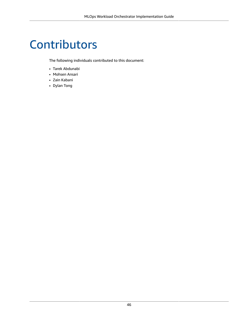## <span id="page-48-0"></span>**Contributors**

The following individuals contributed to this document:

- Tarek Abdunabi
- Mohsen Ansari
- Zain Kabani
- Dylan Tong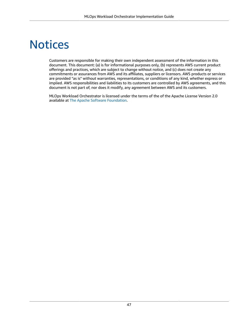## <span id="page-49-0"></span>**Notices**

Customers are responsible for making their own independent assessment of the information in this document. This document: (a) is for informational purposes only, (b) represents AWS current product offerings and practices, which are subject to change without notice, and (c) does not create any commitments or assurances from AWS and its affiliates, suppliers or licensors. AWS products or services are provided "as is" without warranties, representations, or conditions of any kind, whether express or implied. AWS responsibilities and liabilities to its customers are controlled by AWS agreements, and this document is not part of, nor does it modify, any agreement between AWS and its customers.

MLOps Workload Orchestrator is licensed under the terms of the of the Apache License Version 2.0 available at The Apache Software [Foundation](https://www.apache.org/licenses/LICENSE-2.0).